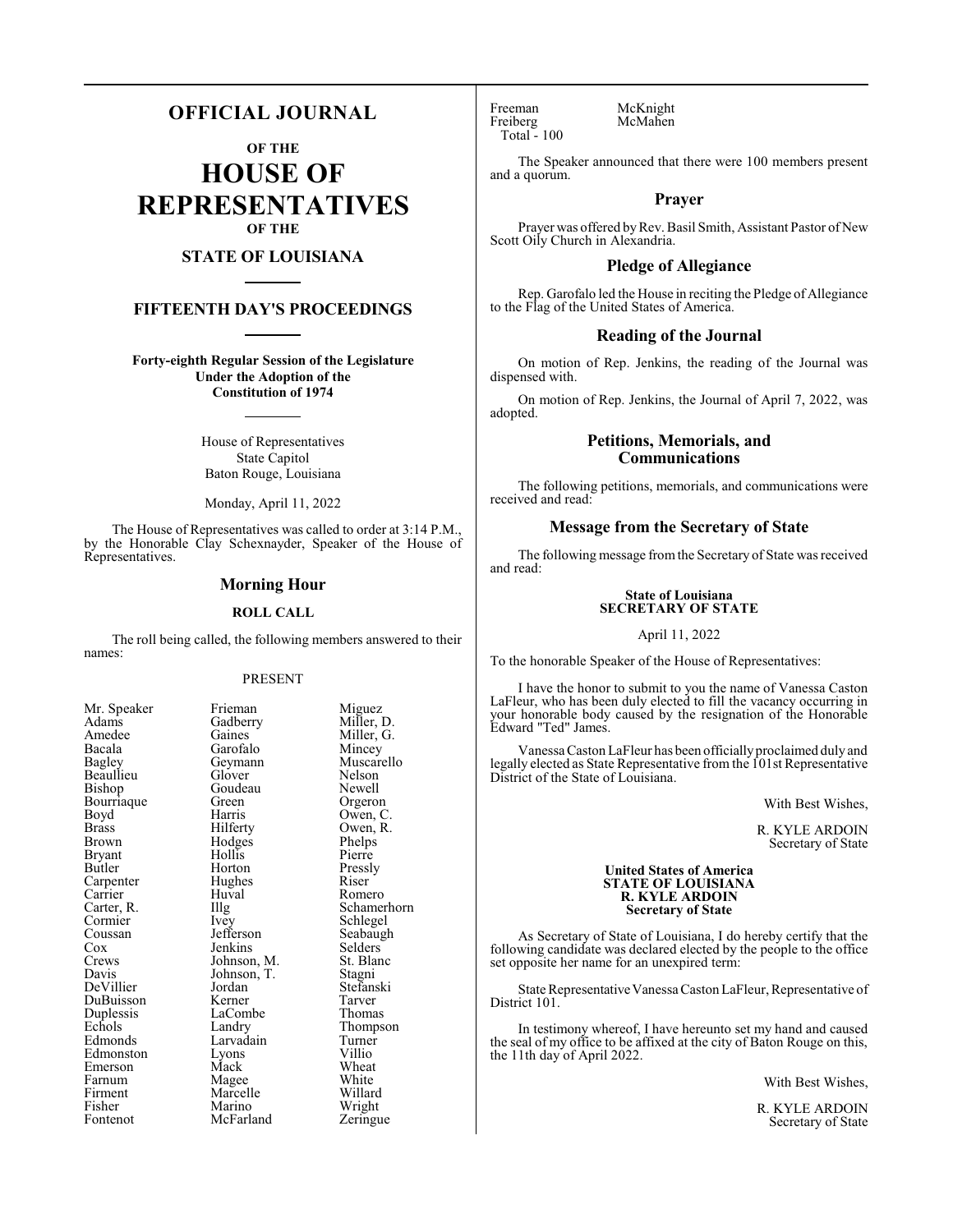# **OFFICIAL JOURNAL**

**OF THE**

**HOUSE OF REPRESENTATIVES OF THE**

# **STATE OF LOUISIANA**

# **FIFTEENTH DAY'S PROCEEDINGS**

**Forty-eighth Regular Session of the Legislature Under the Adoption of the Constitution of 1974**

> House of Representatives State Capitol Baton Rouge, Louisiana

Monday, April 11, 2022

The House of Representatives was called to order at 3:14 P.M., by the Honorable Clay Schexnayder, Speaker of the House of Representatives.

### **Morning Hour**

#### **ROLL CALL**

The roll being called, the following members answered to their names:

#### PRESENT

Goudeau<br>Green

Hollis<br>Horton

Hughes<br>Huval

Lyons<br>Mack

Marcelle<br>Marino

| Mr. Speaker  |
|--------------|
| Adams        |
| Amedee       |
| Bacala       |
| Bagley       |
| Beaullieu    |
| Bishop       |
| Bourriaque   |
| Boyd         |
| <b>Brass</b> |
| <b>Brown</b> |
| Bryant       |
| Butler       |
| Carpenter    |
| Carrier      |
| Carter, R.   |
| Cormier      |
| Coussan      |
| Cox          |
| Crews        |
| Davis        |
| DeVillier    |
| DuBuisson    |
| Duplessis    |
| Echols       |
| Edmonds      |
| Edmonston    |
| Emerson      |
| Farnum       |
| Firment      |
| Fisher       |
| Fontenot     |

Frieman Miguez<br>Gadberry Miller, 1 Gadberry Miller, D.<br>Gaines Miller, G. Gaines Miller, G.<br>Garofalo Mincey Garofalo Mincey<br>Geymann Muscar Muscarello<br>Nelson Glover Nelson<br>Goudeau Newell Green Orgeron<br>Barris Owen C Harris Owen, C.<br>Hilferty Owen, R. Owen, R.<br>Phelps Hodges Phelps<br>Hollis Pierre Pressly<br>Riser Huval Romero<br>Illg Schame Illg Schamerhorn<br>Ivev Schlegel Schlegel<br>Seabaugh Jefferson Seabaughters<br>
Seabaughters<br>
Seabaughters Jenkins Selders<br>Johnson, M. St. Blanc Johnson, M. St. Blanch<br>Johnson, T. Stagni Johnson, T.<br>Jordan Jordan Stefanski<br>Kerner Tarver DuBuisson Kerner Tarver LaCombe Thomas<br>
Landry Thomps Thompson<br>Turner Larvadain Turner<br>Lyons Villio Wheat<br>White Magee White<br>
Marcelle Willard Wright<br>Zeringue McFarland

Freeman McKnight<br>
Freiberg McMahen Freiberg Total - 100

The Speaker announced that there were 100 members present and a quorum.

### **Prayer**

Prayer was offered byRev. Basil Smith, Assistant Pastor of New Scott Oily Church in Alexandria.

# **Pledge of Allegiance**

Rep. Garofalo led the House in reciting the Pledge of Allegiance to the Flag of the United States of America.

#### **Reading of the Journal**

On motion of Rep. Jenkins, the reading of the Journal was dispensed with.

On motion of Rep. Jenkins, the Journal of April 7, 2022, was adopted.

### **Petitions, Memorials, and Communications**

The following petitions, memorials, and communications were received and read:

# **Message from the Secretary of State**

The following message fromthe Secretary of State was received and read:

#### **State of Louisiana SECRETARY OF STATE**

#### April 11, 2022

To the honorable Speaker of the House of Representatives:

I have the honor to submit to you the name of Vanessa Caston LaFleur, who has been duly elected to fill the vacancy occurring in your honorable body caused by the resignation of the Honorable Edward "Ted" James.

Vanessa Caston LaFleur has been officiallyproclaimed duly and legally elected as State Representative from the 101st Representative District of the State of Louisiana.

With Best Wishes,

R. KYLE ARDOIN Secretary of State

#### **United States of America STATE OF LOUISIANA R. KYLE ARDOIN Secretary of State**

As Secretary of State of Louisiana, I do hereby certify that the following candidate was declared elected by the people to the office set opposite her name for an unexpired term:

State Representative Vanessa Caston LaFleur, Representative of District 101.

In testimony whereof, I have hereunto set my hand and caused the seal of my office to be affixed at the city of Baton Rouge on this, the 11th day of April 2022.

With Best Wishes,

R. KYLE ARDOIN Secretary of State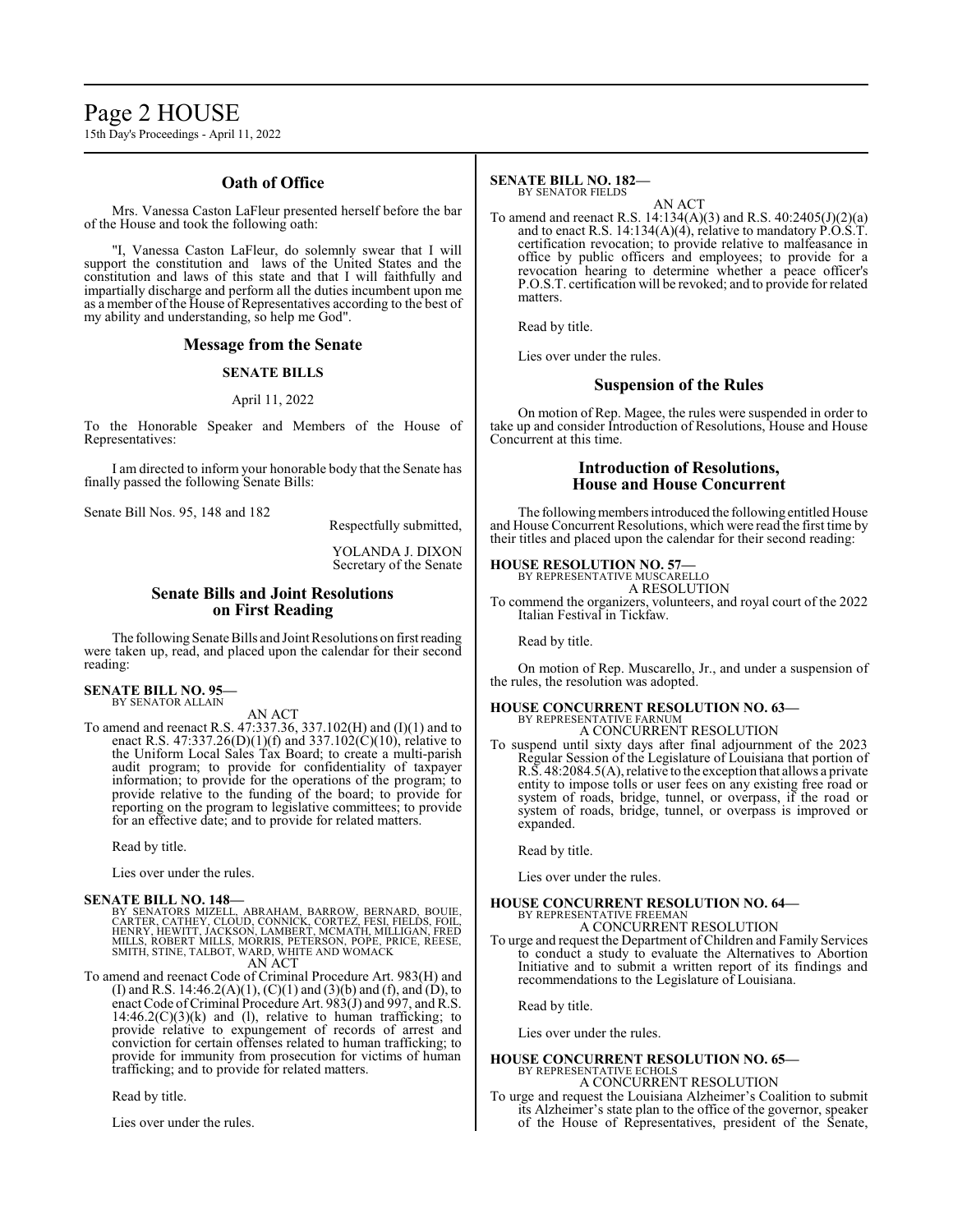# Page 2 HOUSE

15th Day's Proceedings - April 11, 2022

# **Oath of Office**

Mrs. Vanessa Caston LaFleur presented herself before the bar of the House and took the following oath:

"I, Vanessa Caston LaFleur, do solemnly swear that I will support the constitution and laws of the United States and the constitution and laws of this state and that I will faithfully and impartially discharge and perform all the duties incumbent upon me as a member of the House of Representatives according to the best of my ability and understanding, so help me God".

### **Message from the Senate**

#### **SENATE BILLS**

# April 11, 2022

To the Honorable Speaker and Members of the House of Representatives:

I am directed to inform your honorable body that the Senate has finally passed the following Senate Bills:

Senate Bill Nos. 95, 148 and 182

Respectfully submitted,

#### YOLANDA J. DIXON Secretary of the Senate

# **Senate Bills and Joint Resolutions on First Reading**

The following Senate Bills and Joint Resolutions on first reading were taken up, read, and placed upon the calendar for their second reading:

#### **SENATE BILL NO. 95—** BY SENATOR ALLAIN

AN ACT

To amend and reenact R.S. 47:337.36, 337.102(H) and (I)(1) and to enact R.S. 47:337.26(D)(1)(f) and 337.102(C)(10), relative to the Uniform Local Sales Tax Board; to create a multi-parish audit program; to provide for confidentiality of taxpayer information; to provide for the operations of the program; to provide relative to the funding of the board; to provide for reporting on the program to legislative committees; to provide for an effective date; and to provide for related matters.

Read by title.

Lies over under the rules.

#### **SENATE BILL NO. 148—**

BY SENATORS MIZELL, ABRAHAM, BARROW, BERNARD, BOUIE,<br>CARTER, CATHEY, CLOUD, CONNICK, CORTEZ, FESI, FIELDS, FOIL,<br>HENRY, HEWITT, JACKSON, LAMBERT, MCMATH, MILLIGAN, FRED<br>MILLS, ROBERT MILLS, MORRIS, PETERSON, POPE, PRICE, R AN ACT

To amend and reenact Code of Criminal Procedure Art. 983(H) and (I) and R.S. 14:46.2(A)(1), (C)(1) and (3)(b) and (f), and (D), to enact Code of Criminal Procedure Art. 983(J) and 997, and R.S.  $14:46.2(C)(3)(k)$  and (l), relative to human trafficking; to provide relative to expungement of records of arrest and conviction for certain offenses related to human trafficking; to provide for immunity from prosecution for victims of human trafficking; and to provide for related matters.

Read by title.

Lies over under the rules.

#### **SENATE BILL NO. 182—** BY SENATOR FIELDS

AN ACT

To amend and reenact R.S. 14:134(A)(3) and R.S. 40:2405(J)(2)(a) and to enact R.S. 14:134(A)(4), relative to mandatory  $\hat{P}.\hat{O}.\hat{S}.\hat{T}$ . certification revocation; to provide relative to malfeasance in office by public officers and employees; to provide for a revocation hearing to determine whether a peace officer's P.O.S.T. certification will be revoked; and to provide for related matters.

Read by title.

Lies over under the rules.

### **Suspension of the Rules**

On motion of Rep. Magee, the rules were suspended in order to take up and consider Introduction of Resolutions, House and House Concurrent at this time.

# **Introduction of Resolutions, House and House Concurrent**

The following members introduced the following entitled House and House Concurrent Resolutions, which were read the first time by their titles and placed upon the calendar for their second reading:

#### **HOUSE RESOLUTION NO. 57—**

BY REPRESENTATIVE MUSCARELLO A RESOLUTION

To commend the organizers, volunteers, and royal court of the 2022 Italian Festival in Tickfaw.

Read by title.

On motion of Rep. Muscarello, Jr., and under a suspension of the rules, the resolution was adopted.

# **HOUSE CONCURRENT RESOLUTION NO. 63—** BY REPRESENTATIVE FARNUM

A CONCURRENT RESOLUTION

To suspend until sixty days after final adjournment of the 2023 Regular Session of the Legislature of Louisiana that portion of R.S. 48:2084.5(A), relative to the exception that allows a private entity to impose tolls or user fees on any existing free road or system of roads, bridge, tunnel, or overpass, if the road or system of roads, bridge, tunnel, or overpass is improved or expanded.

Read by title.

Lies over under the rules.

# **HOUSE CONCURRENT RESOLUTION NO. 64—**

BY REPRESENTATIVE FREEMAN A CONCURRENT RESOLUTION

To urge and request the Department of Children and Family Services to conduct a study to evaluate the Alternatives to Abortion Initiative and to submit a written report of its findings and recommendations to the Legislature of Louisiana.

Read by title.

Lies over under the rules.

#### **HOUSE CONCURRENT RESOLUTION NO. 65—** BY REPRESENTATIVE ECHOLS A CONCURRENT RESOLUTION

To urge and request the Louisiana Alzheimer's Coalition to submit its Alzheimer's state plan to the office of the governor, speaker of the House of Representatives, president of the Senate,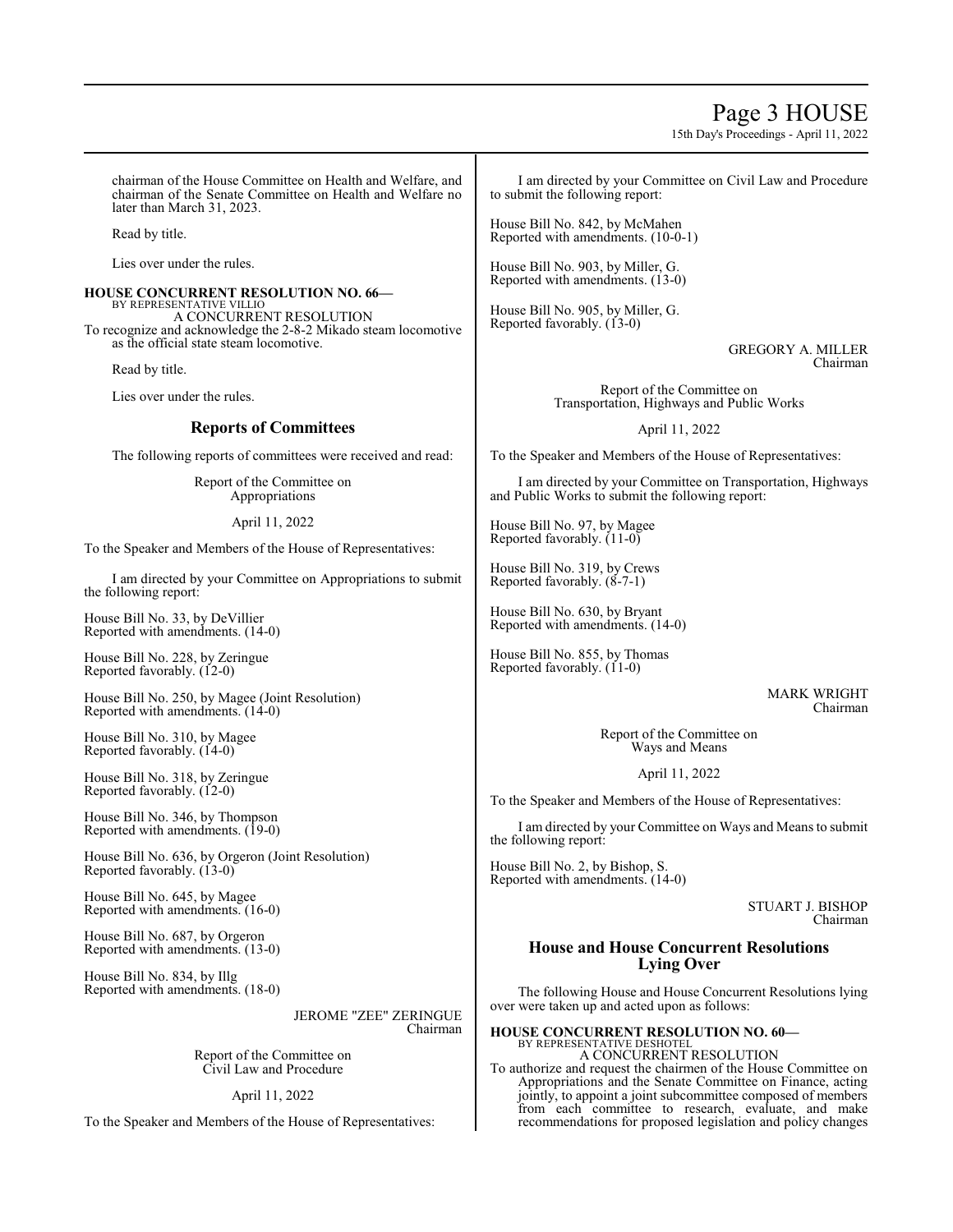# Page 3 HOUSE

15th Day's Proceedings - April 11, 2022

chairman of the House Committee on Health and Welfare, and chairman of the Senate Committee on Health and Welfare no later than March 31, 2023.

Read by title.

Lies over under the rules.

# **HOUSE CONCURRENT RESOLUTION NO. 66—** BY REPRESENTATIVE VILLIO A CONCURRENT RESOLUTION

To recognize and acknowledge the 2-8-2 Mikado steam locomotive as the official state steam locomotive.

Read by title.

Lies over under the rules.

# **Reports of Committees**

The following reports of committees were received and read:

Report of the Committee on Appropriations

April 11, 2022

To the Speaker and Members of the House of Representatives:

I am directed by your Committee on Appropriations to submit the following report:

House Bill No. 33, by DeVillier Reported with amendments. (14-0)

House Bill No. 228, by Zeringue Reported favorably. (12-0)

House Bill No. 250, by Magee (Joint Resolution) Reported with amendments. (14-0)

House Bill No. 310, by Magee Reported favorably. (14-0)

House Bill No. 318, by Zeringue Reported favorably. (12-0)

House Bill No. 346, by Thompson Reported with amendments. (19-0)

House Bill No. 636, by Orgeron (Joint Resolution) Reported favorably. (13-0)

House Bill No. 645, by Magee Reported with amendments. (16-0)

House Bill No. 687, by Orgeron Reported with amendments. (13-0)

House Bill No. 834, by Illg Reported with amendments. (18-0)

> JEROME "ZEE" ZERINGUE Chairman

Report of the Committee on Civil Law and Procedure

April 11, 2022

To the Speaker and Members of the House of Representatives:

I am directed by your Committee on Civil Law and Procedure to submit the following report:

House Bill No. 842, by McMahen Reported with amendments. (10-0-1)

House Bill No. 903, by Miller, G. Reported with amendments. (13-0)

House Bill No. 905, by Miller, G. Reported favorably. (13-0)

> GREGORY A. MILLER Chairman

Report of the Committee on Transportation, Highways and Public Works

April 11, 2022

To the Speaker and Members of the House of Representatives:

I am directed by your Committee on Transportation, Highways and Public Works to submit the following report:

House Bill No. 97, by Magee Reported favorably. (11-0)

House Bill No. 319, by Crews Reported favorably. (8-7-1)

House Bill No. 630, by Bryant Reported with amendments. (14-0)

House Bill No. 855, by Thomas Reported favorably. (11-0)

> MARK WRIGHT Chairman

Report of the Committee on Ways and Means

April 11, 2022

To the Speaker and Members of the House of Representatives:

I am directed by your Committee on Ways and Means to submit the following report:

House Bill No. 2, by Bishop, S. Reported with amendments. (14-0)

> STUART J. BISHOP Chairman

# **House and House Concurrent Resolutions Lying Over**

The following House and House Concurrent Resolutions lying over were taken up and acted upon as follows:

**HOUSE CONCURRENT RESOLUTION NO. 60—** BY REPRESENTATIVE DESHOTEL A CONCURRENT RESOLUTION

To authorize and request the chairmen of the House Committee on Appropriations and the Senate Committee on Finance, acting jointly, to appoint a joint subcommittee composed of members from each committee to research, evaluate, and make recommendations for proposed legislation and policy changes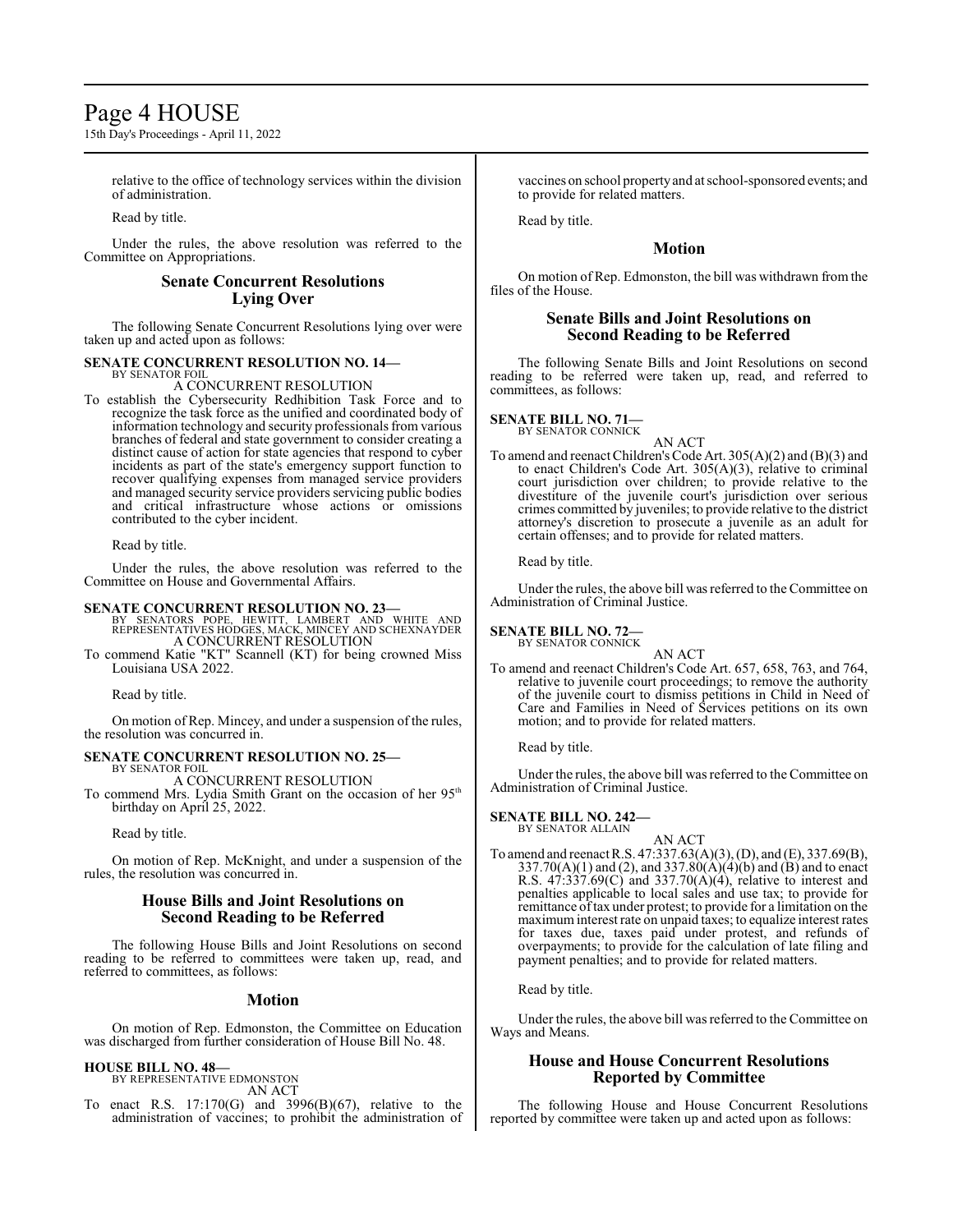# Page 4 HOUSE

15th Day's Proceedings - April 11, 2022

relative to the office of technology services within the division of administration.

Read by title.

Under the rules, the above resolution was referred to the Committee on Appropriations.

# **Senate Concurrent Resolutions Lying Over**

The following Senate Concurrent Resolutions lying over were taken up and acted upon as follows:

# **SENATE CONCURRENT RESOLUTION NO. 14—** BY SENATOR FOIL

A CONCURRENT RESOLUTION

To establish the Cybersecurity Redhibition Task Force and to recognize the task force as the unified and coordinated body of information technology and security professionals from various branches of federal and state government to consider creating a distinct cause of action for state agencies that respond to cyber incidents as part of the state's emergency support function to recover qualifying expenses from managed service providers and managed security service providers servicing public bodies and critical infrastructure whose actions or omissions contributed to the cyber incident.

Read by title.

Under the rules, the above resolution was referred to the Committee on House and Governmental Affairs.

### **SENATE CONCURRENT RESOLUTION NO. 23—**

BY SENATORS POPE, HEWITT, LAMBERT AND WHITE AND REPRESENTATIVES HODGES, MACK, MINCEY AND SCHEXNAYDER A CONCURRENT RESOLUTION

To commend Katie "KT" Scannell (KT) for being crowned Miss Louisiana USA 2022.

Read by title.

On motion of Rep. Mincey, and under a suspension of the rules, the resolution was concurred in.

#### **SENATE CONCURRENT RESOLUTION NO. 25—** BY SENATOR FOIL

A CONCURRENT RESOLUTION

To commend Mrs. Lydia Smith Grant on the occasion of her 95<sup>th</sup> birthday on April 25, 2022.

Read by title.

On motion of Rep. McKnight, and under a suspension of the rules, the resolution was concurred in.

# **House Bills and Joint Resolutions on Second Reading to be Referred**

The following House Bills and Joint Resolutions on second reading to be referred to committees were taken up, read, and referred to committees, as follows:

#### **Motion**

On motion of Rep. Edmonston, the Committee on Education was discharged from further consideration of House Bill No. 48.

#### **HOUSE BILL NO. 48—**

BY REPRESENTATIVE EDMONSTON AN ACT

To enact R.S. 17:170(G) and 3996(B)(67), relative to the administration of vaccines; to prohibit the administration of

vaccines on school propertyand at school-sponsored events; and to provide for related matters.

Read by title.

# **Motion**

On motion of Rep. Edmonston, the bill was withdrawn from the files of the House.

# **Senate Bills and Joint Resolutions on Second Reading to be Referred**

The following Senate Bills and Joint Resolutions on second reading to be referred were taken up, read, and referred to committees, as follows:

# **SENATE BILL NO. 71—** BY SENATOR CONNICK

AN ACT To amend and reenact Children's Code Art. 305(A)(2) and (B)(3) and to enact Children's Code Art. 305(A)(3), relative to criminal court jurisdiction over children; to provide relative to the divestiture of the juvenile court's jurisdiction over serious crimes committed by juveniles; to provide relative to the district attorney's discretion to prosecute a juvenile as an adult for certain offenses; and to provide for related matters.

Read by title.

Under the rules, the above bill was referred to the Committee on Administration of Criminal Justice.

#### **SENATE BILL NO. 72—** BY SENATOR CONNICK

AN ACT

To amend and reenact Children's Code Art. 657, 658, 763, and 764, relative to juvenile court proceedings; to remove the authority of the juvenile court to dismiss petitions in Child in Need of Care and Families in Need of Services petitions on its own motion; and to provide for related matters.

Read by title.

Under the rules, the above bill was referred to the Committee on Administration of Criminal Justice.

# **SENATE BILL NO. 242—**

BY SENATOR ALLAIN

AN ACT To amend and reenact R.S. 47:337.63(A)(3), (D), and (E), 337.69(B), 337.70(A)(1) and (2), and 337.80(A)(4)(b) and (B) and to enact R.S. 47:337.69(C) and 337.70(A)(4), relative to interest and penalties applicable to local sales and use tax; to provide for remittance oftax under protest; to provide for a limitation on the maximuminterest rate on unpaid taxes; to equalize interest rates for taxes due, taxes paid under protest, and refunds of overpayments; to provide for the calculation of late filing and payment penalties; and to provide for related matters.

Read by title.

Under the rules, the above bill was referred to the Committee on Ways and Means.

# **House and House Concurrent Resolutions Reported by Committee**

The following House and House Concurrent Resolutions reported by committee were taken up and acted upon as follows: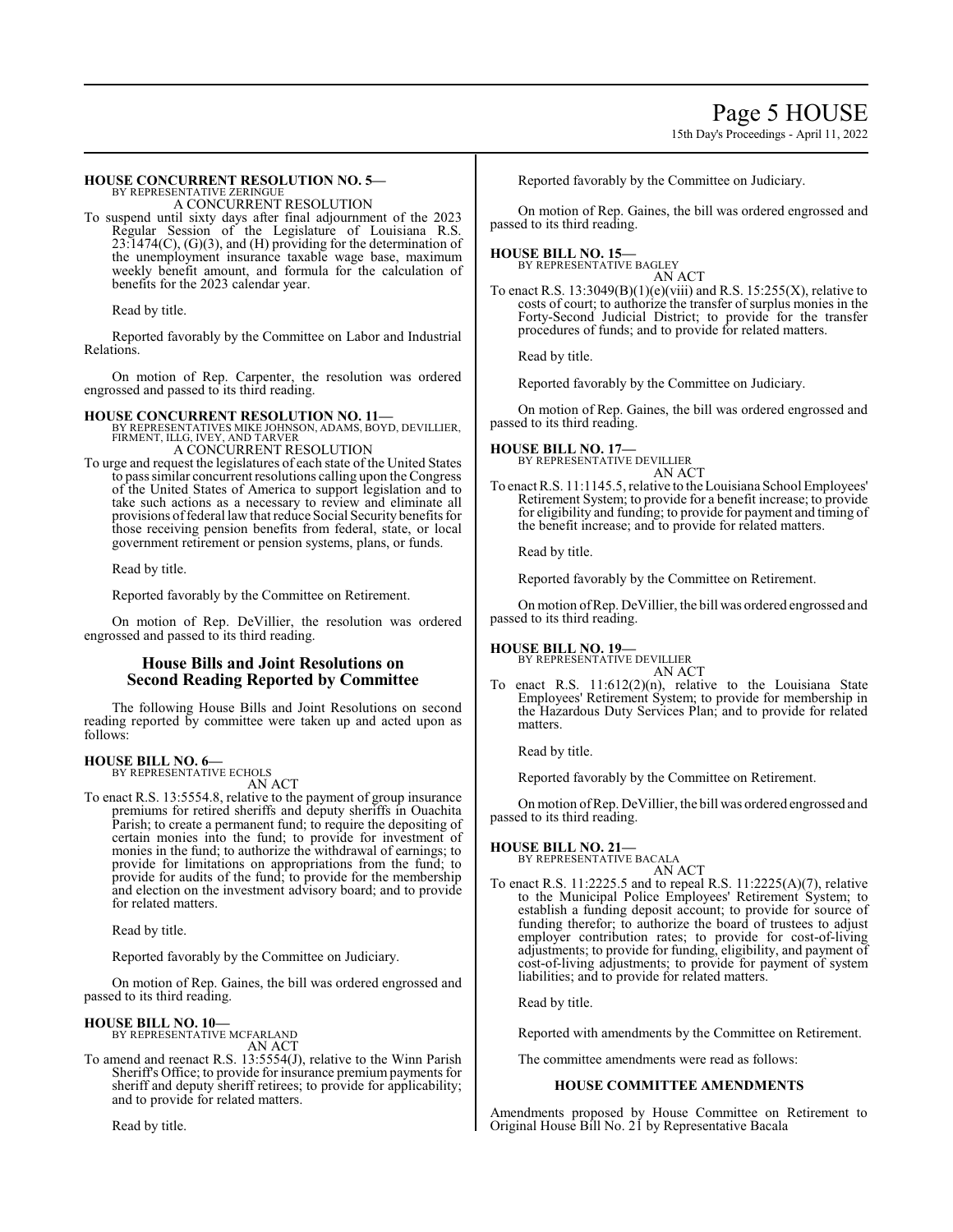# 15th Day's Proceedings - April 11, 2022

#### **HOUSE CONCURRENT RESOLUTION NO. 5—** BY REPRESENTATIVE ZERINGUE

A CONCURRENT RESOLUTION

To suspend until sixty days after final adjournment of the 2023 Regular Session of the Legislature of Louisiana R.S.  $23:1474(C)$ ,  $(G)(3)$ , and  $(H)$  providing for the determination of the unemployment insurance taxable wage base, maximum weekly benefit amount, and formula for the calculation of benefits for the 2023 calendar year.

Read by title.

Reported favorably by the Committee on Labor and Industrial Relations.

On motion of Rep. Carpenter, the resolution was ordered engrossed and passed to its third reading.

**HOUSE CONCURRENT RESOLUTION NO. 11—**<br>BY REPRESENTATIVES MIKE JOHNSON, ADAMS, BOYD, DEVILLIER,<br>FIRMENT, ILLG, IVEY, AND TARVER<br>A CONCURRENT RESOLUTION

To urge and request the legislatures of each state of the United States to pass similar concurrent resolutions calling upon the Congress of the United States of America to support legislation and to take such actions as a necessary to review and eliminate all provisions offederal law that reduce Social Security benefits for those receiving pension benefits from federal, state, or local government retirement or pension systems, plans, or funds.

Read by title.

Reported favorably by the Committee on Retirement.

On motion of Rep. DeVillier, the resolution was ordered engrossed and passed to its third reading.

# **House Bills and Joint Resolutions on Second Reading Reported by Committee**

The following House Bills and Joint Resolutions on second reading reported by committee were taken up and acted upon as follows:

#### **HOUSE BILL NO. 6—** BY REPRESENTATIVE ECHOLS

AN ACT

To enact R.S. 13:5554.8, relative to the payment of group insurance premiums for retired sheriffs and deputy sheriffs in Ouachita Parish; to create a permanent fund; to require the depositing of certain monies into the fund; to provide for investment of monies in the fund; to authorize the withdrawal of earnings; to provide for limitations on appropriations from the fund; to provide for audits of the fund; to provide for the membership and election on the investment advisory board; and to provide for related matters.

Read by title.

Reported favorably by the Committee on Judiciary.

On motion of Rep. Gaines, the bill was ordered engrossed and passed to its third reading.

# **HOUSE BILL NO. 10—**

BY REPRESENTATIVE MCFARLAND AN ACT

To amend and reenact R.S. 13:5554(J), relative to the Winn Parish Sheriff's Office; to provide for insurance premium payments for sheriff and deputy sheriff retirees; to provide for applicability; and to provide for related matters.

Read by title.

Reported favorably by the Committee on Judiciary.

On motion of Rep. Gaines, the bill was ordered engrossed and passed to its third reading.

# **HOUSE BILL NO. 15—** BY REPRESENTATIVE BAGLEY AN ACT

To enact R.S.  $13:3049(B)(1)(e)(viii)$  and R.S.  $15:255(X)$ , relative to costs of court; to authorize the transfer of surplus monies in the Forty-Second Judicial District; to provide for the transfer procedures of funds; and to provide for related matters.

Read by title.

Reported favorably by the Committee on Judiciary.

On motion of Rep. Gaines, the bill was ordered engrossed and passed to its third reading.

# **HOUSE BILL NO. 17—** BY REPRESENTATIVE DEVILLIER

AN ACT

To enact R.S. 11:1145.5, relative to the Louisiana School Employees' Retirement System; to provide for a benefit increase; to provide for eligibility and funding; to provide for payment and timing of the benefit increase; and to provide for related matters.

Read by title.

Reported favorably by the Committee on Retirement.

On motion ofRep. DeVillier, the bill was ordered engrossed and passed to its third reading.

# **HOUSE BILL NO. 19—**

BY REPRESENTATIVE DEVILLIER AN ACT

To enact R.S. 11:612(2)(n), relative to the Louisiana State Employees' Retirement System; to provide for membership in the Hazardous Duty Services Plan; and to provide for related matters.

Read by title.

Reported favorably by the Committee on Retirement.

On motion ofRep. DeVillier, the bill was ordered engrossed and passed to its third reading.

# **HOUSE BILL NO. 21—**

BY REPRESENTATIVE BACALA AN ACT

To enact R.S. 11:2225.5 and to repeal R.S. 11:2225(A)(7), relative to the Municipal Police Employees' Retirement System; to establish a funding deposit account; to provide for source of funding therefor; to authorize the board of trustees to adjust employer contribution rates; to provide for cost-of-living adjustments; to provide for funding, eligibility, and payment of cost-of-living adjustments; to provide for payment of system liabilities; and to provide for related matters.

Read by title.

Reported with amendments by the Committee on Retirement.

The committee amendments were read as follows:

# **HOUSE COMMITTEE AMENDMENTS**

Amendments proposed by House Committee on Retirement to Original House Bill No. 21 by Representative Bacala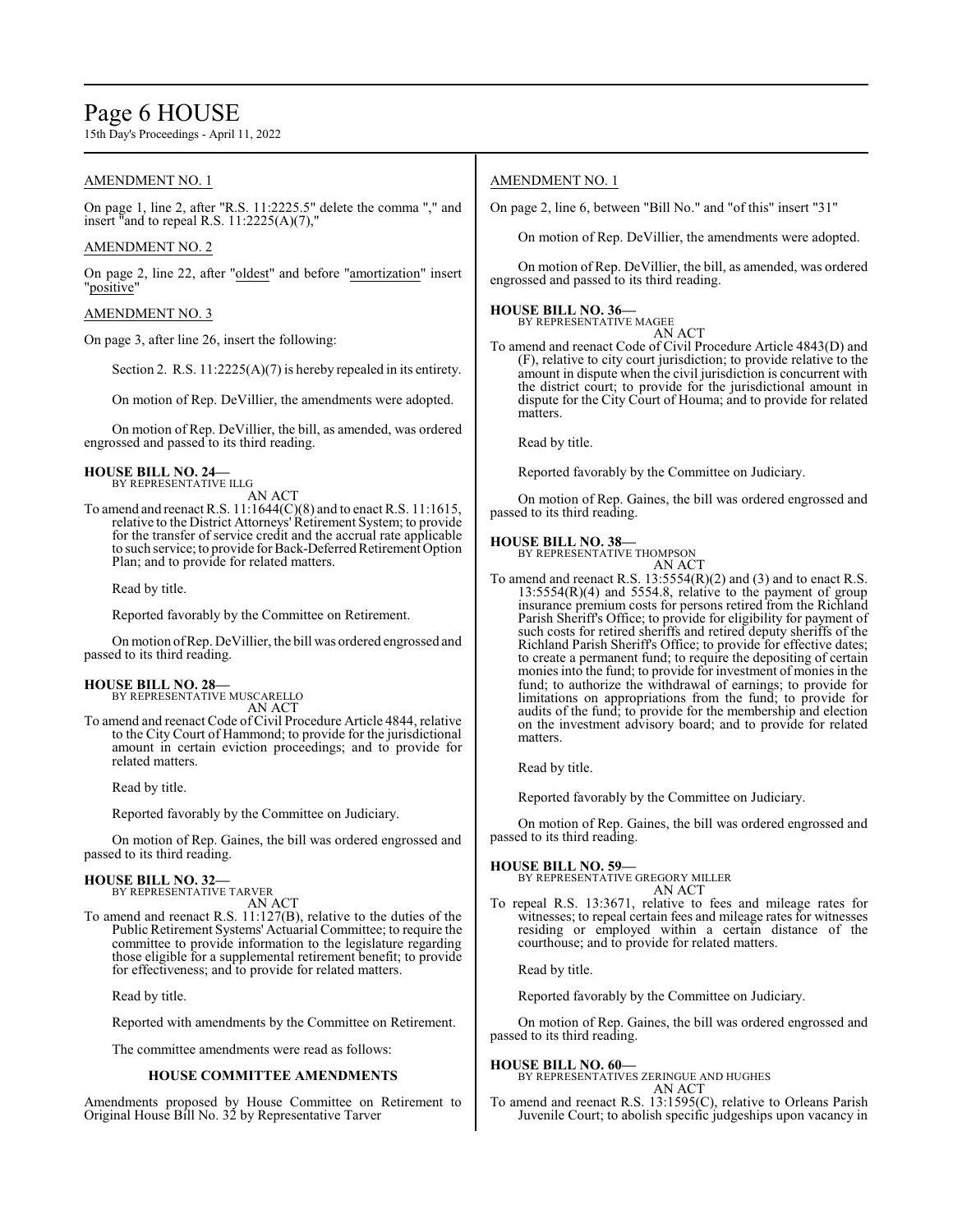# Page 6 HOUSE

15th Day's Proceedings - April 11, 2022

# AMENDMENT NO. 1

On page 1, line 2, after "R.S. 11:2225.5" delete the comma "," and insert "and to repeal R.S.  $11:2225(A)(7)$ ,"

# AMENDMENT NO. 2

On page 2, line 22, after "oldest" and before "amortization" insert "positive"

### AMENDMENT NO. 3

On page 3, after line 26, insert the following:

Section 2. R.S. 11:2225(A)(7) is hereby repealed in its entirety.

On motion of Rep. DeVillier, the amendments were adopted.

On motion of Rep. DeVillier, the bill, as amended, was ordered engrossed and passed to its third reading.

#### **HOUSE BILL NO. 24—** BY REPRESENTATIVE ILLG

AN ACT

To amend and reenact R.S. 11:1644(C)(8) and to enact R.S. 11:1615, relative to the District Attorneys' Retirement System; to provide for the transfer of service credit and the accrual rate applicable to such service; to provide for Back-Deferred Retirement Option Plan; and to provide for related matters.

Read by title.

Reported favorably by the Committee on Retirement.

On motion ofRep. DeVillier, the bill was ordered engrossed and passed to its third reading.

# **HOUSE BILL NO. 28—**

BY REPRESENTATIVE MUSCARELLO AN ACT

To amend and reenact Code of Civil Procedure Article 4844, relative to the City Court of Hammond; to provide for the jurisdictional amount in certain eviction proceedings; and to provide for related matters.

Read by title.

Reported favorably by the Committee on Judiciary.

On motion of Rep. Gaines, the bill was ordered engrossed and passed to its third reading.

#### **HOUSE BILL NO. 32—**

BY REPRESENTATIVE TARVER AN ACT

To amend and reenact R.S. 11:127(B), relative to the duties of the Public Retirement Systems' Actuarial Committee; to require the committee to provide information to the legislature regarding those eligible for a supplemental retirement benefit; to provide for effectiveness; and to provide for related matters.

Read by title.

Reported with amendments by the Committee on Retirement.

The committee amendments were read as follows:

### **HOUSE COMMITTEE AMENDMENTS**

Amendments proposed by House Committee on Retirement to Original House Bill No. 32 by Representative Tarver

# AMENDMENT NO. 1

On page 2, line 6, between "Bill No." and "of this" insert "31"

On motion of Rep. DeVillier, the amendments were adopted.

On motion of Rep. DeVillier, the bill, as amended, was ordered engrossed and passed to its third reading.

# **HOUSE BILL NO. 36—** BY REPRESENTATIVE MAGEE

AN ACT

To amend and reenact Code of Civil Procedure Article 4843(D) and (F), relative to city court jurisdiction; to provide relative to the amount in dispute when the civil jurisdiction is concurrent with the district court; to provide for the jurisdictional amount in dispute for the City Court of Houma; and to provide for related matters.

Read by title.

Reported favorably by the Committee on Judiciary.

On motion of Rep. Gaines, the bill was ordered engrossed and passed to its third reading.

#### **HOUSE BILL NO. 38—**

BY REPRESENTATIVE THOMPSON

AN ACT To amend and reenact R.S.  $13:5554(R)(2)$  and (3) and to enact R.S. 13:5554(R)(4) and 5554.8, relative to the payment of group insurance premium costs for persons retired from the Richland Parish Sheriff's Office; to provide for eligibility for payment of such costs for retired sheriffs and retired deputy sheriffs of the Richland Parish Sheriff's Office; to provide for effective dates; to create a permanent fund; to require the depositing of certain monies into the fund; to provide for investment of monies in the fund; to authorize the withdrawal of earnings; to provide for limitations on appropriations from the fund; to provide for audits of the fund; to provide for the membership and election on the investment advisory board; and to provide for related matters.

Read by title.

Reported favorably by the Committee on Judiciary.

On motion of Rep. Gaines, the bill was ordered engrossed and passed to its third reading.

#### **HOUSE BILL NO. 59—**

BY REPRESENTATIVE GREGORY MILLER AN ACT

To repeal R.S. 13:3671, relative to fees and mileage rates for witnesses; to repeal certain fees and mileage rates for witnesses residing or employed within a certain distance of the courthouse; and to provide for related matters.

Read by title.

Reported favorably by the Committee on Judiciary.

On motion of Rep. Gaines, the bill was ordered engrossed and passed to its third reading.

**HOUSE BILL NO. 60—** BY REPRESENTATIVES ZERINGUE AND HUGHES AN ACT

To amend and reenact R.S. 13:1595(C), relative to Orleans Parish Juvenile Court; to abolish specific judgeships upon vacancy in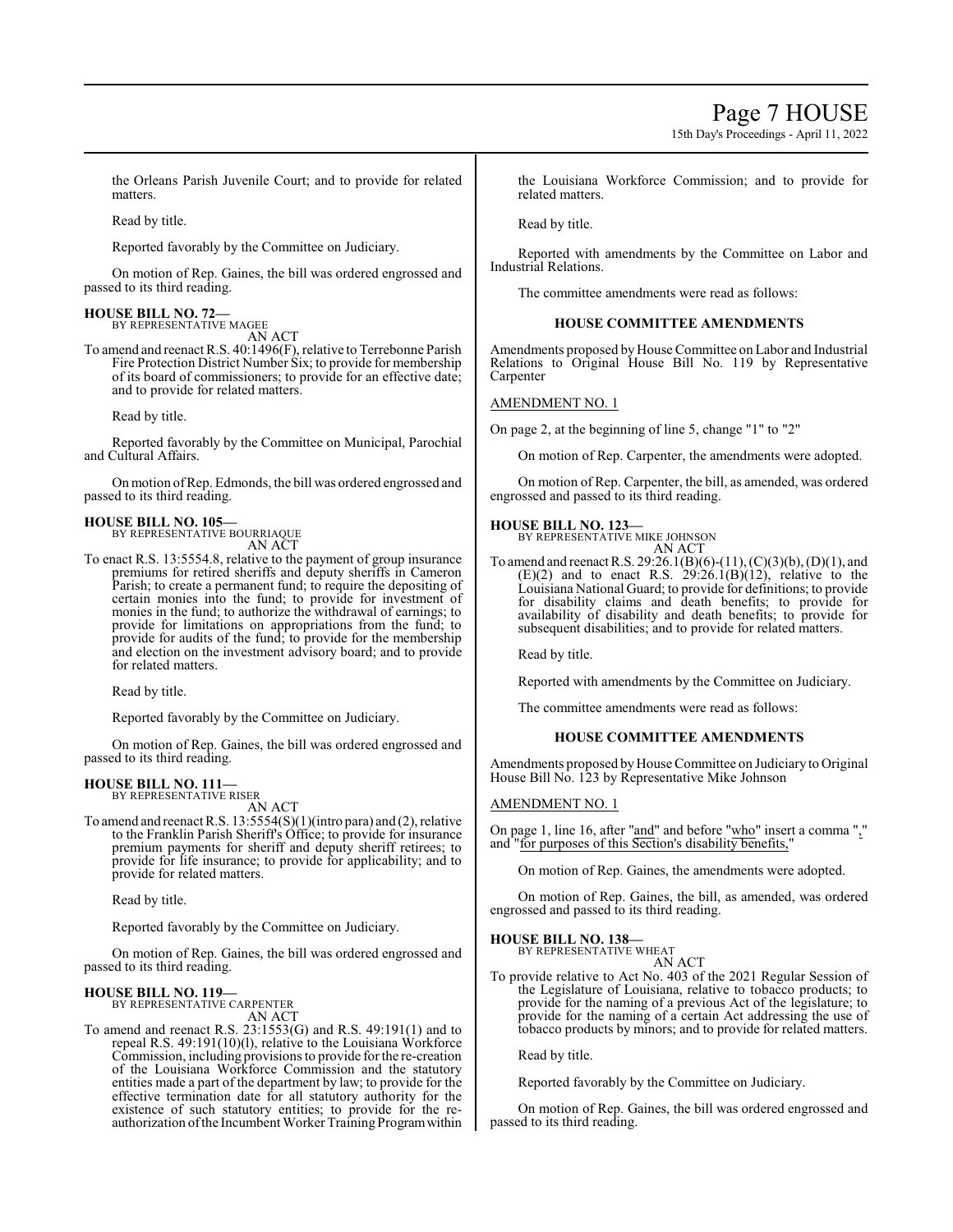# Page 7 HOUSE

15th Day's Proceedings - April 11, 2022

the Orleans Parish Juvenile Court; and to provide for related matters.

Read by title.

Reported favorably by the Committee on Judiciary.

On motion of Rep. Gaines, the bill was ordered engrossed and passed to its third reading.

# **HOUSE BILL NO. 72—** BY REPRESENTATIVE MAGEE

AN ACT

To amend and reenact R.S. 40:1496(F), relative to Terrebonne Parish Fire Protection District Number Six; to provide for membership of its board of commissioners; to provide for an effective date; and to provide for related matters.

Read by title.

Reported favorably by the Committee on Municipal, Parochial and Cultural Affairs.

Onmotion ofRep. Edmonds, the bill was ordered engrossed and passed to its third reading.

# **HOUSE BILL NO. 105—**

BY REPRESENTATIVE BOURRIAQUE AN ACT

To enact R.S. 13:5554.8, relative to the payment of group insurance premiums for retired sheriffs and deputy sheriffs in Cameron Parish; to create a permanent fund; to require the depositing of certain monies into the fund; to provide for investment of monies in the fund; to authorize the withdrawal of earnings; to provide for limitations on appropriations from the fund; to provide for audits of the fund; to provide for the membership and election on the investment advisory board; and to provide for related matters.

Read by title.

Reported favorably by the Committee on Judiciary.

On motion of Rep. Gaines, the bill was ordered engrossed and passed to its third reading.

#### **HOUSE BILL NO. 111—** BY REPRESENTATIVE RISER

AN ACT

To amend and reenact R.S. 13:5554(S)(1)(intro para) and (2), relative to the Franklin Parish Sheriff's Office; to provide for insurance premium payments for sheriff and deputy sheriff retirees; to provide for life insurance; to provide for applicability; and to provide for related matters.

Read by title.

Reported favorably by the Committee on Judiciary.

On motion of Rep. Gaines, the bill was ordered engrossed and passed to its third reading.

# **HOUSE BILL NO. 119—** BY REPRESENTATIVE CARPENTER

AN ACT

To amend and reenact R.S. 23:1553(G) and R.S. 49:191(1) and to repeal R.S. 49:191(10)(l), relative to the Louisiana Workforce Commission, including provisions to provide forthe re-creation of the Louisiana Workforce Commission and the statutory entities made a part of the department by law; to provide for the effective termination date for all statutory authority for the existence of such statutory entities; to provide for the reauthorization ofthe Incumbent Worker Training Programwithin the Louisiana Workforce Commission; and to provide for related matters.

Read by title.

Reported with amendments by the Committee on Labor and Industrial Relations.

The committee amendments were read as follows:

#### **HOUSE COMMITTEE AMENDMENTS**

Amendments proposed by House Committee on Labor and Industrial Relations to Original House Bill No. 119 by Representative Carpenter

#### AMENDMENT NO. 1

On page 2, at the beginning of line 5, change "1" to "2"

On motion of Rep. Carpenter, the amendments were adopted.

On motion of Rep. Carpenter, the bill, as amended, was ordered engrossed and passed to its third reading.

#### **HOUSE BILL NO. 123—**

BY REPRESENTATIVE MIKE JOHNSON AN ACT

To amend and reenact R.S. 29:26.1(B)(6)-(11), (C)(3)(b), (D)(1), and  $(E)(2)$  and to enact R.S.  $29:26.1(B)(12)$ , relative to the Louisiana National Guard; to provide for definitions; to provide for disability claims and death benefits; to provide for availability of disability and death benefits; to provide for subsequent disabilities; and to provide for related matters.

Read by title.

Reported with amendments by the Committee on Judiciary.

The committee amendments were read as follows:

#### **HOUSE COMMITTEE AMENDMENTS**

Amendments proposed byHouse Committee on Judiciary to Original House Bill No. 123 by Representative Mike Johnson

### AMENDMENT NO. 1

On page 1, line 16, after "and" and before "who" insert a comma "," and "for purposes of this Section's disability benefits,"

On motion of Rep. Gaines, the amendments were adopted.

On motion of Rep. Gaines, the bill, as amended, was ordered engrossed and passed to its third reading.

# **HOUSE BILL NO. 138—**

BY REPRESENTATIVE WHEAT AN ACT

To provide relative to Act No. 403 of the 2021 Regular Session of the Legislature of Louisiana, relative to tobacco products; to provide for the naming of a previous Act of the legislature; to provide for the naming of a certain Act addressing the use of tobacco products by minors; and to provide for related matters.

Read by title.

Reported favorably by the Committee on Judiciary.

On motion of Rep. Gaines, the bill was ordered engrossed and passed to its third reading.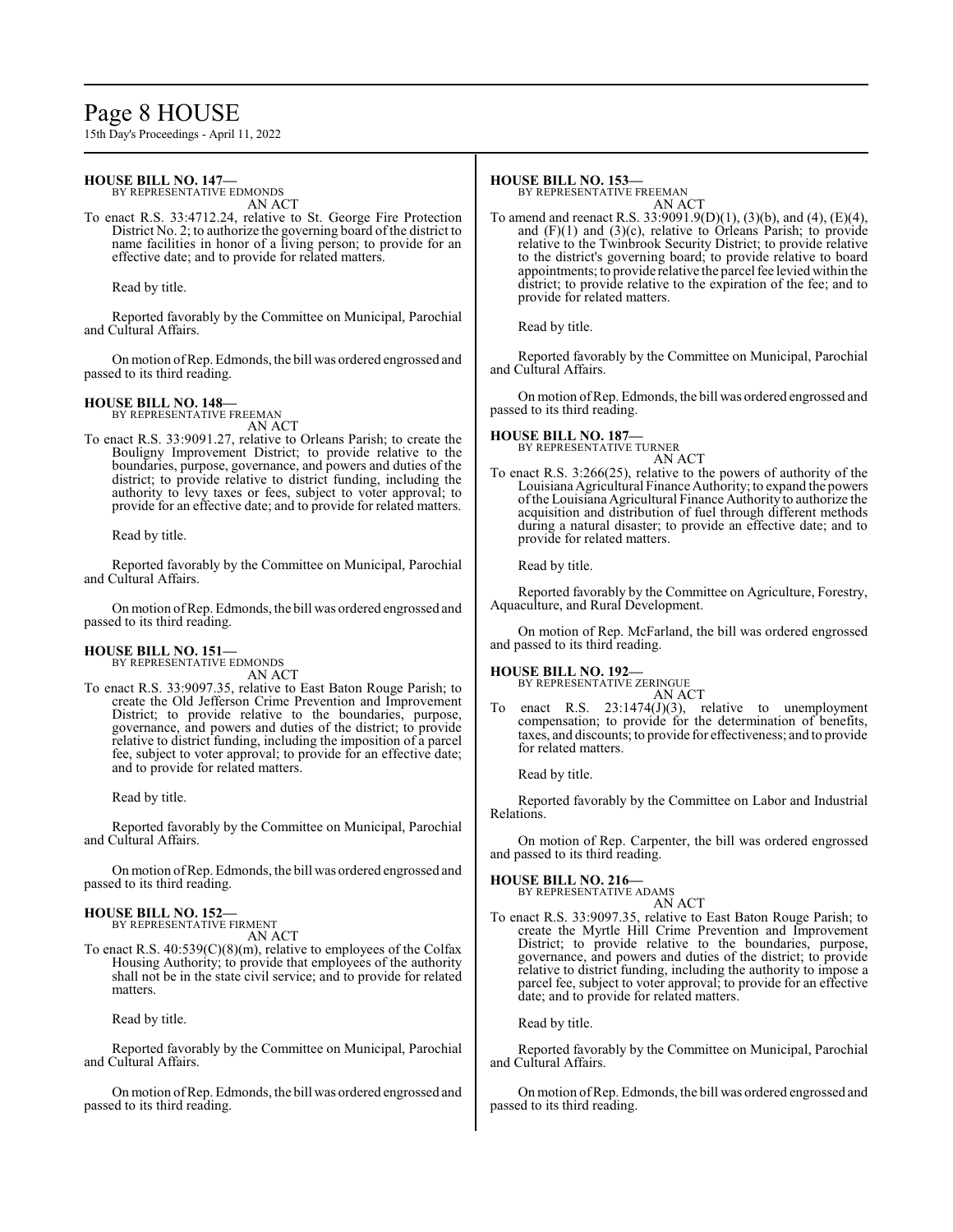# Page 8 HOUSE

15th Day's Proceedings - April 11, 2022

#### **HOUSE BILL NO. 147—** BY REPRESENTATIVE EDMONDS

AN ACT

To enact R.S. 33:4712.24, relative to St. George Fire Protection District No. 2; to authorize the governing board of the district to name facilities in honor of a living person; to provide for an effective date; and to provide for related matters.

Read by title.

Reported favorably by the Committee on Municipal, Parochial and Cultural Affairs.

On motion ofRep. Edmonds, the bill was ordered engrossed and passed to its third reading.

# **HOUSE BILL NO. 148—**

BY REPRESENTATIVE FREEMAN AN ACT

To enact R.S. 33:9091.27, relative to Orleans Parish; to create the Bouligny Improvement District; to provide relative to the boundaries, purpose, governance, and powers and duties of the district; to provide relative to district funding, including the authority to levy taxes or fees, subject to voter approval; to provide for an effective date; and to provide for related matters.

Read by title.

Reported favorably by the Committee on Municipal, Parochial and Cultural Affairs.

On motion ofRep. Edmonds, the bill was ordered engrossed and passed to its third reading.

#### **HOUSE BILL NO. 151—** BY REPRESENTATIVE EDMONDS

AN ACT

To enact R.S. 33:9097.35, relative to East Baton Rouge Parish; to create the Old Jefferson Crime Prevention and Improvement District; to provide relative to the boundaries, purpose, governance, and powers and duties of the district; to provide relative to district funding, including the imposition of a parcel fee, subject to voter approval; to provide for an effective date; and to provide for related matters.

Read by title.

Reported favorably by the Committee on Municipal, Parochial and Cultural Affairs.

On motion ofRep. Edmonds, the bill was ordered engrossed and passed to its third reading.

# **HOUSE BILL NO. 152—** BY REPRESENTATIVE FIRMENT

AN ACT

To enact R.S. 40:539(C)(8)(m), relative to employees of the Colfax Housing Authority; to provide that employees of the authority shall not be in the state civil service; and to provide for related matters.

Read by title.

Reported favorably by the Committee on Municipal, Parochial and Cultural Affairs.

On motion ofRep. Edmonds, the bill was ordered engrossed and passed to its third reading.

# **HOUSE BILL NO. 153—**

BY REPRESENTATIVE FREEMAN AN ACT

To amend and reenact R.S. 33:9091.9(D)(1), (3)(b), and (4), (E)(4), and (F)(1) and (3)(c), relative to Orleans Parish; to provide relative to the Twinbrook Security District; to provide relative to the district's governing board; to provide relative to board appointments; to provide relative the parcel fee levied within the district; to provide relative to the expiration of the fee; and to provide for related matters.

Read by title.

Reported favorably by the Committee on Municipal, Parochial and Cultural Affairs.

On motion ofRep. Edmonds, the bill was ordered engrossed and passed to its third reading.

**HOUSE BILL NO. 187—** BY REPRESENTATIVE TURNER

AN ACT

To enact R.S. 3:266(25), relative to the powers of authority of the Louisiana Agricultural Finance Authority; to expand the powers ofthe Louisiana Agricultural Finance Authority to authorize the acquisition and distribution of fuel through different methods during a natural disaster; to provide an effective date; and to provide for related matters.

Read by title.

Reported favorably by the Committee on Agriculture, Forestry, Aquaculture, and Rural Development.

On motion of Rep. McFarland, the bill was ordered engrossed and passed to its third reading.

# **HOUSE BILL NO. 192—**

BY REPRESENTATIVE ZERINGUE AN ACT

To enact R.S. 23:1474(J)(3), relative to unemployment compensation; to provide for the determination of benefits, taxes, and discounts; to provide for effectiveness; and to provide for related matters.

Read by title.

Reported favorably by the Committee on Labor and Industrial Relations.

On motion of Rep. Carpenter, the bill was ordered engrossed and passed to its third reading.

**HOUSE BILL NO. 216—**

BY REPRESENTATIVE ADAMS AN ACT

To enact R.S. 33:9097.35, relative to East Baton Rouge Parish; to create the Myrtle Hill Crime Prevention and Improvement District; to provide relative to the boundaries, purpose, governance, and powers and duties of the district; to provide relative to district funding, including the authority to impose a parcel fee, subject to voter approval; to provide for an effective date; and to provide for related matters.

Read by title.

Reported favorably by the Committee on Municipal, Parochial and Cultural Affairs.

Onmotion ofRep. Edmonds, the bill was ordered engrossed and passed to its third reading.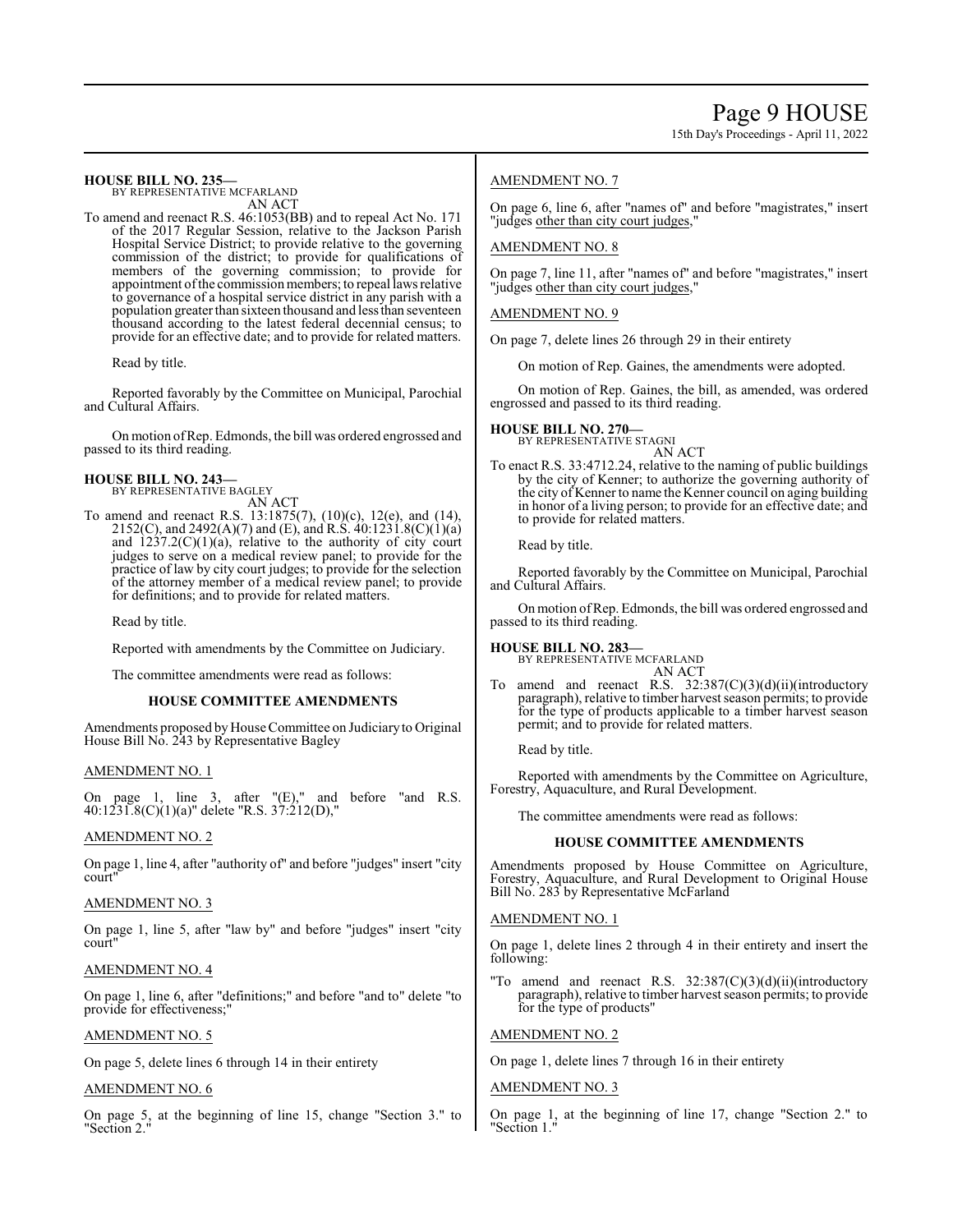15th Day's Proceedings - April 11, 2022

#### **HOUSE BILL NO. 235—** BY REPRESENTATIVE MCFARLAND

AN ACT

To amend and reenact R.S. 46:1053(BB) and to repeal Act No. 171 of the 2017 Regular Session, relative to the Jackson Parish Hospital Service District; to provide relative to the governing commission of the district; to provide for qualifications of members of the governing commission; to provide for appointment of the commission members; to repeal laws relative to governance of a hospital service district in any parish with a population greater than sixteen thousand and lessthan seventeen thousand according to the latest federal decennial census; to provide for an effective date; and to provide for related matters.

Read by title.

Reported favorably by the Committee on Municipal, Parochial and Cultural Affairs.

On motion ofRep. Edmonds, the bill was ordered engrossed and passed to its third reading.

#### **HOUSE BILL NO. 243—** BY REPRESENTATIVE BAGLEY

AN ACT

To amend and reenact R.S. 13:1875(7), (10)(c), 12(e), and (14), 2152(C), and 2492(A)(7) and (E), and R.S. 40:1231.8(C)(1)(a) and  $1237.2(C)(1)(a)$ , relative to the authority of city court judges to serve on a medical review panel; to provide for the practice of law by city court judges; to provide for the selection of the attorney member of a medical review panel; to provide for definitions; and to provide for related matters.

Read by title.

Reported with amendments by the Committee on Judiciary.

The committee amendments were read as follows:

#### **HOUSE COMMITTEE AMENDMENTS**

Amendments proposed by House Committee on Judiciary to Original House Bill No. 243 by Representative Bagley

### AMENDMENT NO. 1

On page 1, line 3, after "(E)," and before "and R.S. 40:1231.8(C)(1)(a)" delete "R.S. 37:212(D),"

#### AMENDMENT NO. 2

On page 1, line 4, after "authority of" and before "judges" insert "city court"

#### AMENDMENT NO. 3

On page 1, line 5, after "law by" and before "judges" insert "city court"

# AMENDMENT NO. 4

On page 1, line 6, after "definitions;" and before "and to" delete "to provide for effectiveness;"

#### AMENDMENT NO. 5

On page 5, delete lines 6 through 14 in their entirety

# AMENDMENT NO. 6

On page 5, at the beginning of line 15, change "Section 3." to "Section 2."

# AMENDMENT NO. 7

On page 6, line 6, after "names of" and before "magistrates," insert "judges other than city court judges,"

### AMENDMENT NO. 8

On page 7, line 11, after "names of" and before "magistrates," insert "judges other than city court judges,"

### AMENDMENT NO. 9

On page 7, delete lines 26 through 29 in their entirety

On motion of Rep. Gaines, the amendments were adopted.

On motion of Rep. Gaines, the bill, as amended, was ordered engrossed and passed to its third reading.

#### **HOUSE BILL NO. 270—** BY REPRESENTATIVE STAGNI

AN ACT

To enact R.S. 33:4712.24, relative to the naming of public buildings by the city of Kenner; to authorize the governing authority of the city of Kenner to name the Kenner council on aging building in honor of a living person; to provide for an effective date; and to provide for related matters.

Read by title.

Reported favorably by the Committee on Municipal, Parochial and Cultural Affairs.

Onmotion ofRep. Edmonds, the bill was ordered engrossed and passed to its third reading.

**HOUSE BILL NO. 283—** BY REPRESENTATIVE MCFARLAND AN ACT

To amend and reenact R.S. 32:387(C)(3)(d)(ii)(introductory paragraph), relative to timber harvest season permits; to provide for the type of products applicable to a timber harvest season permit; and to provide for related matters.

Read by title.

Reported with amendments by the Committee on Agriculture, Forestry, Aquaculture, and Rural Development.

The committee amendments were read as follows:

#### **HOUSE COMMITTEE AMENDMENTS**

Amendments proposed by House Committee on Agriculture, Forestry, Aquaculture, and Rural Development to Original House Bill No. 283 by Representative McFarland

#### AMENDMENT NO. 1

On page 1, delete lines 2 through 4 in their entirety and insert the following:

"To amend and reenact R.S. 32:387(C)(3)(d)(ii)(introductory paragraph), relative to timber harvest season permits; to provide for the type of products"

### AMENDMENT NO. 2

On page 1, delete lines 7 through 16 in their entirety

# AMENDMENT NO. 3

On page 1, at the beginning of line 17, change "Section 2." to "Section 1."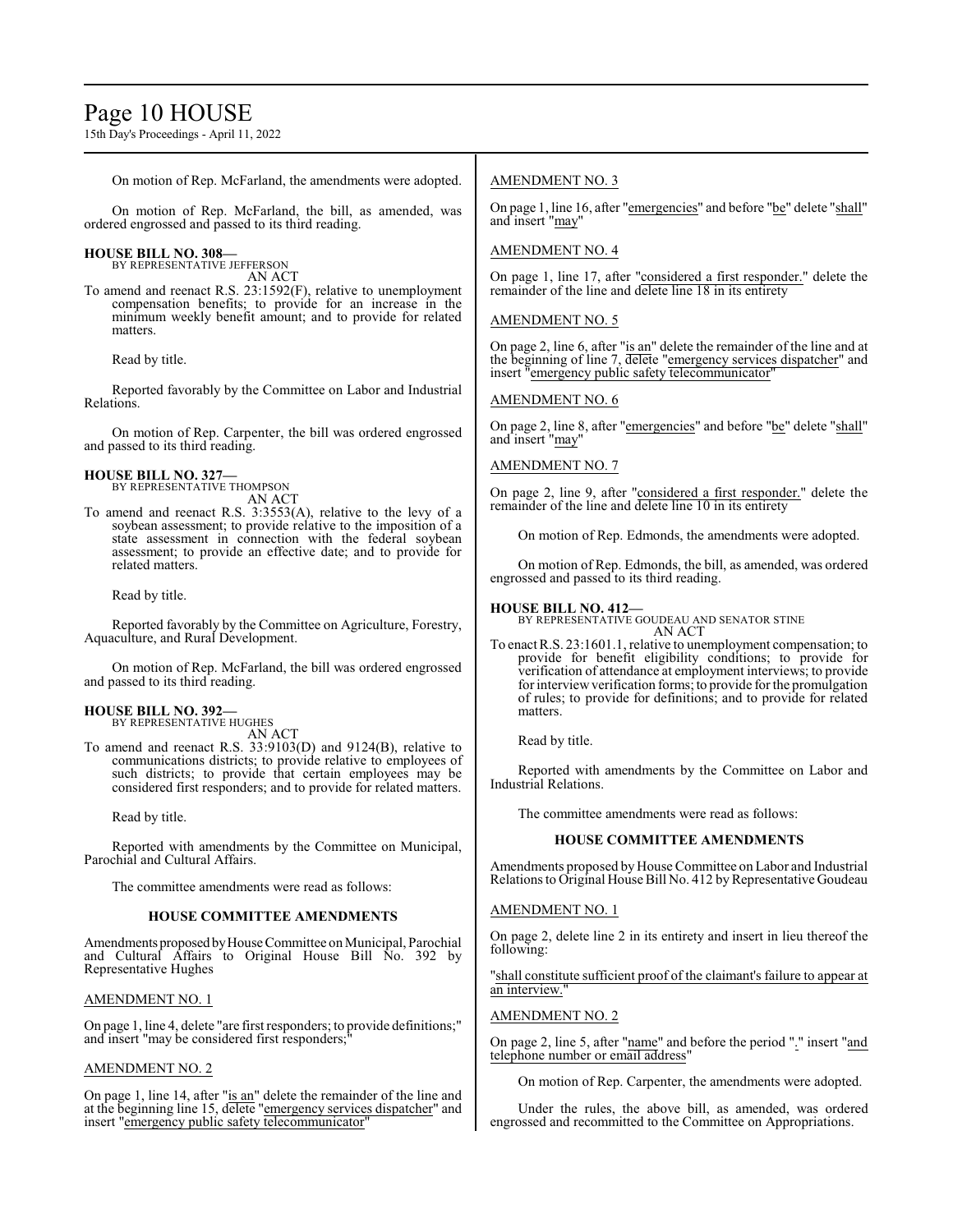# Page 10 HOUSE

15th Day's Proceedings - April 11, 2022

On motion of Rep. McFarland, the amendments were adopted.

On motion of Rep. McFarland, the bill, as amended, was ordered engrossed and passed to its third reading.

# **HOUSE BILL NO. 308—**

BY REPRESENTATIVE JEFFERSON AN ACT

To amend and reenact R.S. 23:1592(F), relative to unemployment compensation benefits; to provide for an increase in the minimum weekly benefit amount; and to provide for related matters.

Read by title.

Reported favorably by the Committee on Labor and Industrial Relations.

On motion of Rep. Carpenter, the bill was ordered engrossed and passed to its third reading.

#### **HOUSE BILL NO. 327—** BY REPRESENTATIVE THOMPSON

AN ACT

To amend and reenact R.S. 3:3553(A), relative to the levy of a soybean assessment; to provide relative to the imposition of a state assessment in connection with the federal soybean assessment; to provide an effective date; and to provide for related matters.

Read by title.

Reported favorably by the Committee on Agriculture, Forestry, Aquaculture, and Rural Development.

On motion of Rep. McFarland, the bill was ordered engrossed and passed to its third reading.

#### **HOUSE BILL NO. 392—** BY REPRESENTATIVE HUGHES

AN ACT

To amend and reenact R.S. 33:9103(D) and 9124(B), relative to communications districts; to provide relative to employees of such districts; to provide that certain employees may be considered first responders; and to provide for related matters.

Read by title.

Reported with amendments by the Committee on Municipal, Parochial and Cultural Affairs.

The committee amendments were read as follows:

### **HOUSE COMMITTEE AMENDMENTS**

Amendments proposed by House Committee on Municipal, Parochial and Cultural Affairs to Original House Bill No. 392 by Representative Hughes

# AMENDMENT NO. 1

On page 1, line 4, delete "are first responders; to provide definitions;" and insert "may be considered first responders;

#### AMENDMENT NO. 2

On page 1, line 14, after "is an" delete the remainder of the line and at the beginning line 15, delete "emergency services dispatcher" and insert "emergency public safety telecommunicator"

# AMENDMENT NO. 3

On page 1, line 16, after "emergencies" and before "be" delete "shall" and insert "may"

# AMENDMENT NO. 4

On page 1, line 17, after "considered a first responder." delete the remainder of the line and delete line 18 in its entirety

# AMENDMENT NO. 5

On page 2, line 6, after "is an" delete the remainder of the line and at the beginning of line 7, delete "emergency services dispatcher" and insert "emergency public safety telecommunicator"

# AMENDMENT NO. 6

On page 2, line 8, after "emergencies" and before "be" delete "shall" and insert "may"

### AMENDMENT NO. 7

On page 2, line 9, after "considered a first responder." delete the remainder of the line and delete line 10 in its entirety

On motion of Rep. Edmonds, the amendments were adopted.

On motion of Rep. Edmonds, the bill, as amended, was ordered engrossed and passed to its third reading.

# **HOUSE BILL NO. 412—**

BY REPRESENTATIVE GOUDEAU AND SENATOR STINE AN ACT

To enact R.S. 23:1601.1, relative to unemployment compensation; to provide for benefit eligibility conditions; to provide for verification of attendance at employment interviews; to provide for interview verification forms; to provide for the promulgation of rules; to provide for definitions; and to provide for related matters.

Read by title.

Reported with amendments by the Committee on Labor and Industrial Relations.

The committee amendments were read as follows:

# **HOUSE COMMITTEE AMENDMENTS**

Amendments proposed by House Committee on Labor and Industrial Relations to Original House Bill No. 412 by Representative Goudeau

# AMENDMENT NO. 1

On page 2, delete line 2 in its entirety and insert in lieu thereof the following:

"shall constitute sufficient proof of the claimant's failure to appear at an interview."

#### AMENDMENT NO. 2

On page 2, line 5, after "name" and before the period "." insert "and telephone number or email address"

On motion of Rep. Carpenter, the amendments were adopted.

Under the rules, the above bill, as amended, was ordered engrossed and recommitted to the Committee on Appropriations.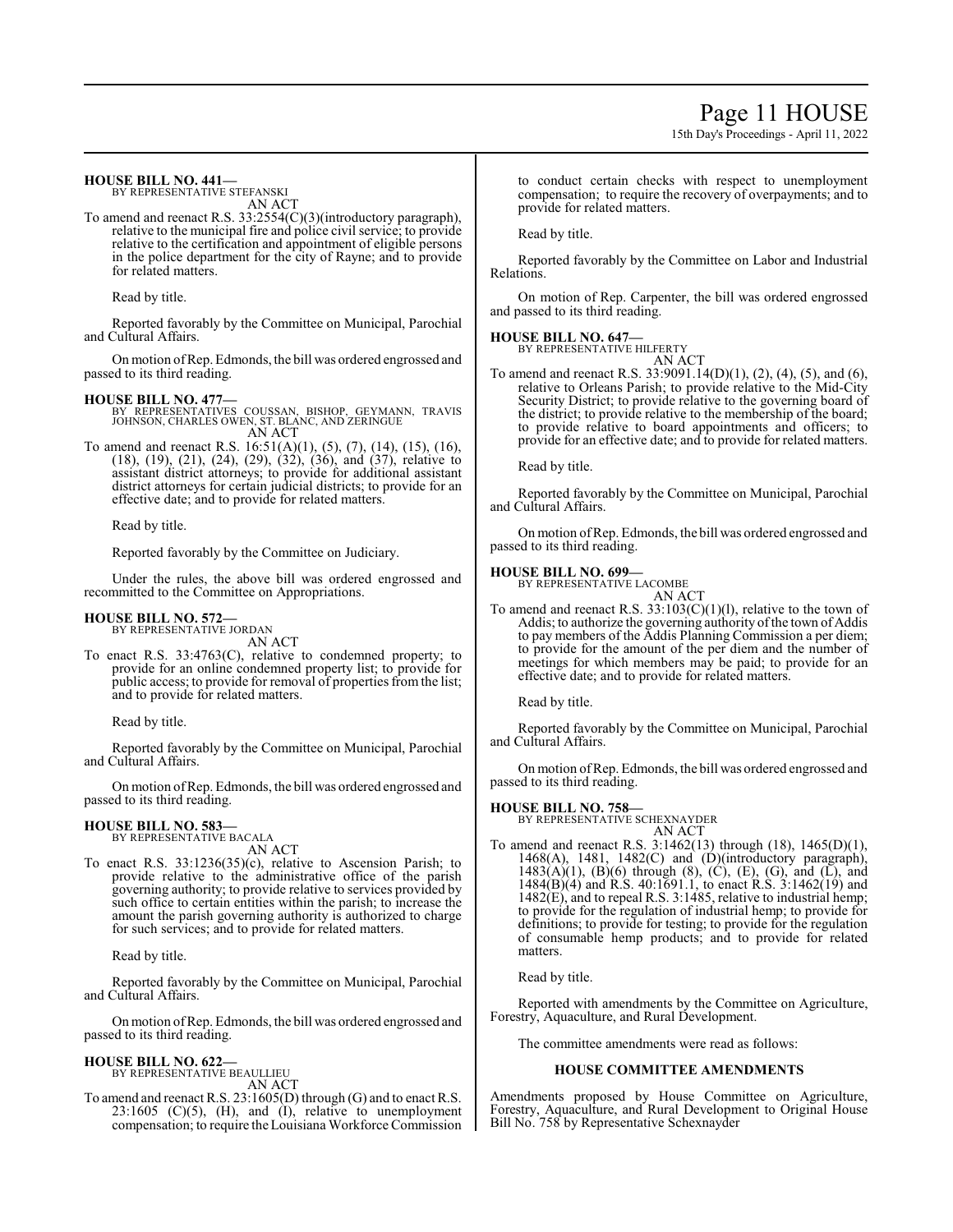# Page 11 HOUSE

15th Day's Proceedings - April 11, 2022

### **HOUSE BILL NO. 441—**

BY REPRESENTATIVE STEFANSKI AN ACT

To amend and reenact R.S. 33:2554(C)(3)(introductory paragraph), relative to the municipal fire and police civil service; to provide relative to the certification and appointment of eligible persons in the police department for the city of Rayne; and to provide for related matters.

Read by title.

Reported favorably by the Committee on Municipal, Parochial and Cultural Affairs.

On motion ofRep. Edmonds, the bill was ordered engrossed and passed to its third reading.

- **HOUSE BILL NO. 477—** BY REPRESENTATIVES COUSSAN, BISHOP, GEYMANN, TRAVIS JOHNSON, CHARLES OWEN, ST. BLANC, AND ZERINGUE AN ACT
- To amend and reenact R.S. 16:51(A)(1), (5), (7), (14), (15), (16), (18), (19), (21), (24), (29), (32), (36), and (37), relative to assistant district attorneys; to provide for additional assistant district attorneys for certain judicial districts; to provide for an effective date; and to provide for related matters.

Read by title.

Reported favorably by the Committee on Judiciary.

Under the rules, the above bill was ordered engrossed and recommitted to the Committee on Appropriations.

#### **HOUSE BILL NO. 572—** BY REPRESENTATIVE JORDAN

AN ACT

To enact R.S. 33:4763(C), relative to condemned property; to provide for an online condemned property list; to provide for public access; to provide for removal of properties from the list; and to provide for related matters.

Read by title.

Reported favorably by the Committee on Municipal, Parochial and Cultural Affairs.

On motion ofRep. Edmonds, the bill was ordered engrossed and passed to its third reading.

# **HOUSE BILL NO. 583—**

BY REPRESENTATIVE BACALA AN ACT

To enact R.S. 33:1236(35)(c), relative to Ascension Parish; to provide relative to the administrative office of the parish governing authority; to provide relative to services provided by such office to certain entities within the parish; to increase the amount the parish governing authority is authorized to charge for such services; and to provide for related matters.

Read by title.

Reported favorably by the Committee on Municipal, Parochial and Cultural Affairs.

Onmotion ofRep. Edmonds, the bill was ordered engrossed and passed to its third reading.

# **HOUSE BILL NO. 622—** BY REPRESENTATIVE BEAULLIEU

AN ACT

To amend and reenact R.S. 23:1605(D) through (G) and to enact R.S.  $23:1605$  (C)(5), (H), and (I), relative to unemployment compensation; to require theLouisiana Workforce Commission to conduct certain checks with respect to unemployment compensation; to require the recovery of overpayments; and to provide for related matters.

Read by title.

Reported favorably by the Committee on Labor and Industrial Relations.

On motion of Rep. Carpenter, the bill was ordered engrossed and passed to its third reading.

#### **HOUSE BILL NO. 647—**

BY REPRESENTATIVE HILFERTY AN ACT

To amend and reenact R.S. 33:9091.14(D)(1), (2), (4), (5), and (6), relative to Orleans Parish; to provide relative to the Mid-City Security District; to provide relative to the governing board of the district; to provide relative to the membership of the board; to provide relative to board appointments and officers; to provide for an effective date; and to provide for related matters.

Read by title.

Reported favorably by the Committee on Municipal, Parochial and Cultural Affairs.

On motion ofRep. Edmonds, the bill was ordered engrossed and passed to its third reading.

### **HOUSE BILL NO. 699—**

BY REPRESENTATIVE LACOMBE AN ACT

To amend and reenact R.S. 33:103(C)(1)(l), relative to the town of Addis; to authorize the governing authority of the town of Addis to pay members of the Addis Planning Commission a per diem; to provide for the amount of the per diem and the number of meetings for which members may be paid; to provide for an effective date; and to provide for related matters.

Read by title.

Reported favorably by the Committee on Municipal, Parochial and Cultural Affairs.

On motion ofRep. Edmonds, the bill was ordered engrossed and passed to its third reading.

#### **HOUSE BILL NO. 758—**

BY REPRESENTATIVE SCHEXNAYDER AN ACT

To amend and reenact R.S. 3:1462(13) through (18), 1465(D)(1), 1468(A), 1481, 1482(C) and  $(D)(introductory)$  paragraph), 1483(A)(1), (B)(6) through (8), (C), (E), (G), and (L), and 1484(B)(4) and R.S. 40:1691.1, to enact R.S. 3:1462(19) and 1482(E), and to repeal R.S. 3:1485, relative to industrial hemp; to provide for the regulation of industrial hemp; to provide for definitions; to provide for testing; to provide for the regulation of consumable hemp products; and to provide for related matters.

Read by title.

Reported with amendments by the Committee on Agriculture, Forestry, Aquaculture, and Rural Development.

The committee amendments were read as follows:

#### **HOUSE COMMITTEE AMENDMENTS**

Amendments proposed by House Committee on Agriculture, Forestry, Aquaculture, and Rural Development to Original House Bill No. 758 by Representative Schexnayder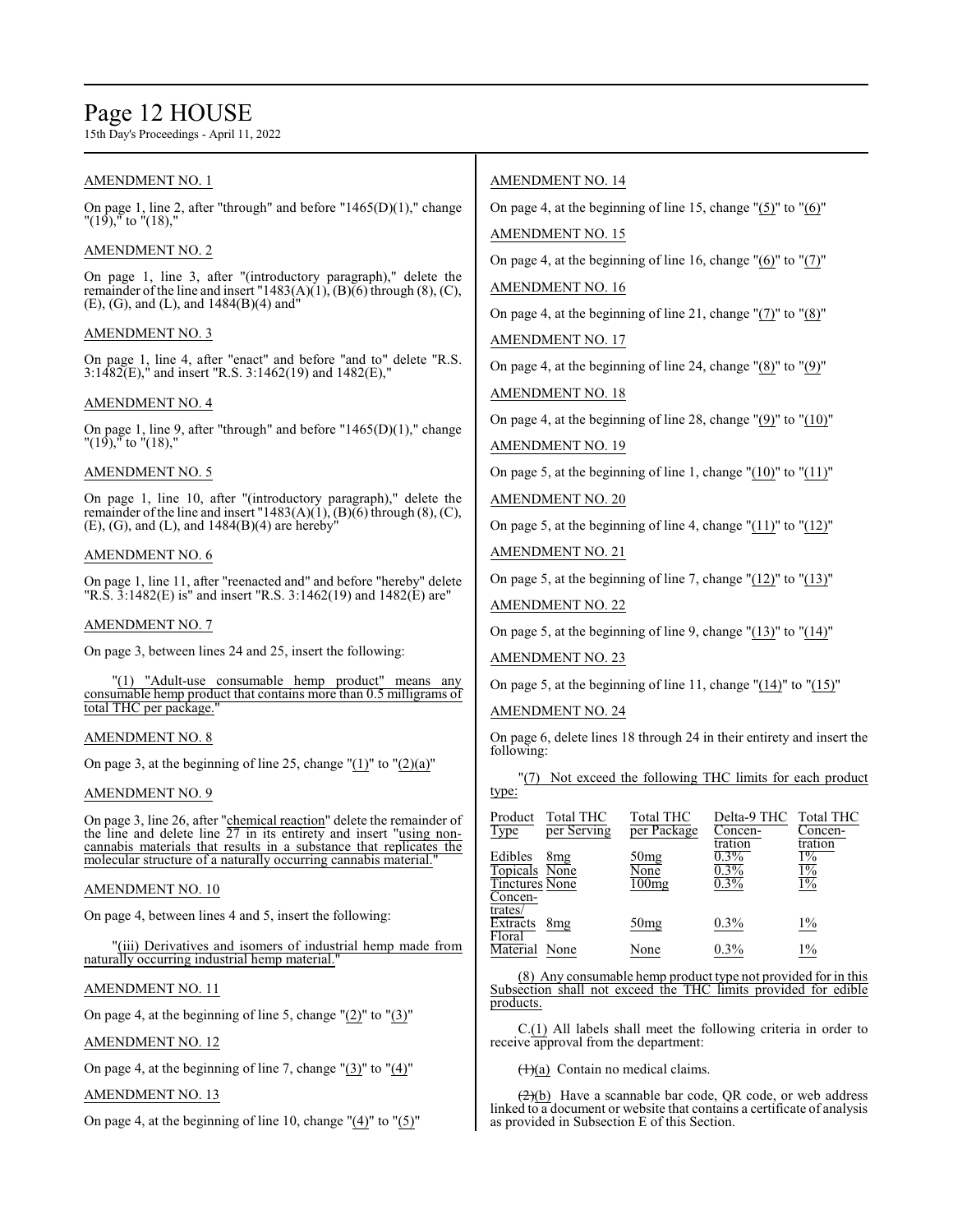# Page 12 HOUSE

AMENDMENT NO. 12

AMENDMENT NO. 13

On page 4, at the beginning of line 7, change " $(3)$ " to " $(4)$ "

On page 4, at the beginning of line 10, change " $(4)$ " to " $(5)$ "

15th Day's Proceedings - April 11, 2022

| <b>AMENDMENT NO. 1</b>                                                                                                                                                                                            | <b>AMENDMENT NO. 14</b>                                                                                                                                                                                               |  |  |
|-------------------------------------------------------------------------------------------------------------------------------------------------------------------------------------------------------------------|-----------------------------------------------------------------------------------------------------------------------------------------------------------------------------------------------------------------------|--|--|
| On page 1, line 2, after "through" and before " $1465(D)(1)$ ," change<br>$\sqrt{19}$ , $\sqrt{16}$ to $\sqrt{18}$ ,"                                                                                             | On page 4, at the beginning of line 15, change " $(5)$ " to " $(6)$ "                                                                                                                                                 |  |  |
| <b>AMENDMENT NO. 2</b>                                                                                                                                                                                            | <b>AMENDMENT NO. 15</b><br>On page 4, at the beginning of line 16, change $"(6)"$ to $"(7)"$                                                                                                                          |  |  |
| On page 1, line 3, after "(introductory paragraph)," delete the<br>remainder of the line and insert "1483(A)(1), (B)(6) through $(8)$ , (C),                                                                      | <b>AMENDMENT NO. 16</b>                                                                                                                                                                                               |  |  |
| $(E)$ , (G), and (L), and 1484(B)(4) and "<br><b>AMENDMENT NO. 3</b>                                                                                                                                              | On page 4, at the beginning of line 21, change " $(7)$ " to " $(8)$ "<br><b>AMENDMENT NO. 17</b>                                                                                                                      |  |  |
| On page 1, line 4, after "enact" and before "and to" delete "R.S.<br>$3:1482(E)$ , and insert "R.S. 3:1462(19) and 1482(E),"                                                                                      | On page 4, at the beginning of line 24, change " $(8)$ " to " $(9)$ "                                                                                                                                                 |  |  |
| <b>AMENDMENT NO. 4</b>                                                                                                                                                                                            | <b>AMENDMENT NO. 18</b>                                                                                                                                                                                               |  |  |
| On page 1, line 9, after "through" and before " $1465(D)(1)$ ," change<br>$"(19),"$ to $"(18),"$                                                                                                                  | On page 4, at the beginning of line 28, change $"(9)"$ to $"(10)"$<br><b>AMENDMENT NO. 19</b>                                                                                                                         |  |  |
| <b>AMENDMENT NO. 5</b>                                                                                                                                                                                            | On page 5, at the beginning of line 1, change " $(10)$ " to " $(11)$ "                                                                                                                                                |  |  |
| On page 1, line 10, after "(introductory paragraph)," delete the<br>remainder of the line and insert "1483(A)(1), (B)(6) through (8), (C),                                                                        | <b>AMENDMENT NO. 20</b>                                                                                                                                                                                               |  |  |
| $(E)$ , (G), and (L), and 1484(B)(4) are hereby <sup>"</sup>                                                                                                                                                      | On page 5, at the beginning of line 4, change " $(11)$ " to " $(12)$ "                                                                                                                                                |  |  |
| <b>AMENDMENT NO. 6</b>                                                                                                                                                                                            | <b>AMENDMENT NO. 21</b>                                                                                                                                                                                               |  |  |
| On page 1, line 11, after "reenacted and" and before "hereby" delete<br>"R.S. $3:1482(E)$ is" and insert "R.S. $3:1462(19)$ and $1482(E)$ are"                                                                    | On page 5, at the beginning of line 7, change $(12)$ " to $(13)$ "<br><b>AMENDMENT NO. 22</b>                                                                                                                         |  |  |
| <b>AMENDMENT NO. 7</b>                                                                                                                                                                                            | On page 5, at the beginning of line 9, change " $(13)$ " to " $(14)$ "                                                                                                                                                |  |  |
| On page 3, between lines 24 and 25, insert the following:                                                                                                                                                         | <b>AMENDMENT NO. 23</b>                                                                                                                                                                                               |  |  |
| "(1) "Adult-use consumable hemp product" means any consumable hemp product that contains more than 0.5 milligrams of<br>total THC per package.'                                                                   | On page 5, at the beginning of line 11, change $\degree$ (14) $\degree$ to $\degree$ (15) $\degree$<br><b>AMENDMENT NO. 24</b>                                                                                        |  |  |
| <b>AMENDMENT NO. 8</b>                                                                                                                                                                                            | On page 6, delete lines 18 through 24 in their entirety and insert the<br>following:                                                                                                                                  |  |  |
| On page 3, at the beginning of line 25, change " $(1)$ " to " $(2)(a)$ "                                                                                                                                          | Not exceed the following THC limits for each product                                                                                                                                                                  |  |  |
| <b>AMENDMENT NO. 9</b>                                                                                                                                                                                            | type:                                                                                                                                                                                                                 |  |  |
| On page 3, line 26, after "chemical reaction" delete the remainder of<br>the line and delete line 27 in its entirety and insert "using non-<br>cannabis materials that results in a substance that replicates the | Product<br>Total THC<br>Total THC<br>Delta-9 THC<br>Total THC<br>per Package<br>Type<br>per Serving<br>Concen-<br>Concen-<br>tration<br>tration<br>$0.3\%$<br>$1\%$<br>Edibles<br>8 <sub>mg</sub><br>50 <sub>mg</sub> |  |  |
| molecular structure of a naturally occurring cannabis material."<br>AMENDMENT NO. 10                                                                                                                              | None<br>$0.3\%$<br>$1\%$<br>Topicals None<br>100 <sub>mg</sub><br><b>Tinctures None</b><br>$0.3\%$<br>$1\%$                                                                                                           |  |  |
| On page 4, between lines 4 and 5, insert the following:                                                                                                                                                           | Concen-<br>trates/<br>$0.3\%$<br>$1\%$<br>Extracts 8mg<br>50 <sub>mg</sub>                                                                                                                                            |  |  |
| "(iii) Derivatives and isomers of industrial hemp made from                                                                                                                                                       | Floral<br>Material None<br>None<br>0.3%<br>$1\%$                                                                                                                                                                      |  |  |
| naturally occurring industrial hemp material."                                                                                                                                                                    | (8) Any consumable hemp product type not provided for in this                                                                                                                                                         |  |  |
| <b>AMENDMENT NO. 11</b>                                                                                                                                                                                           | Subsection shall not exceed the THC limits provided for edible                                                                                                                                                        |  |  |
| On page 4, at the beginning of line 5, change $"(2)"$ to $"(3)"$                                                                                                                                                  | products.                                                                                                                                                                                                             |  |  |

 $C(\underline{1})$  All labels shall meet the following criteria in order to receive approval from the department:

 $(1)(a)$  Contain no medical claims.

(2)(b) Have a scannable bar code, QR code, or web address linked to a document or website that contains a certificate of analysis as provided in Subsection E of this Section.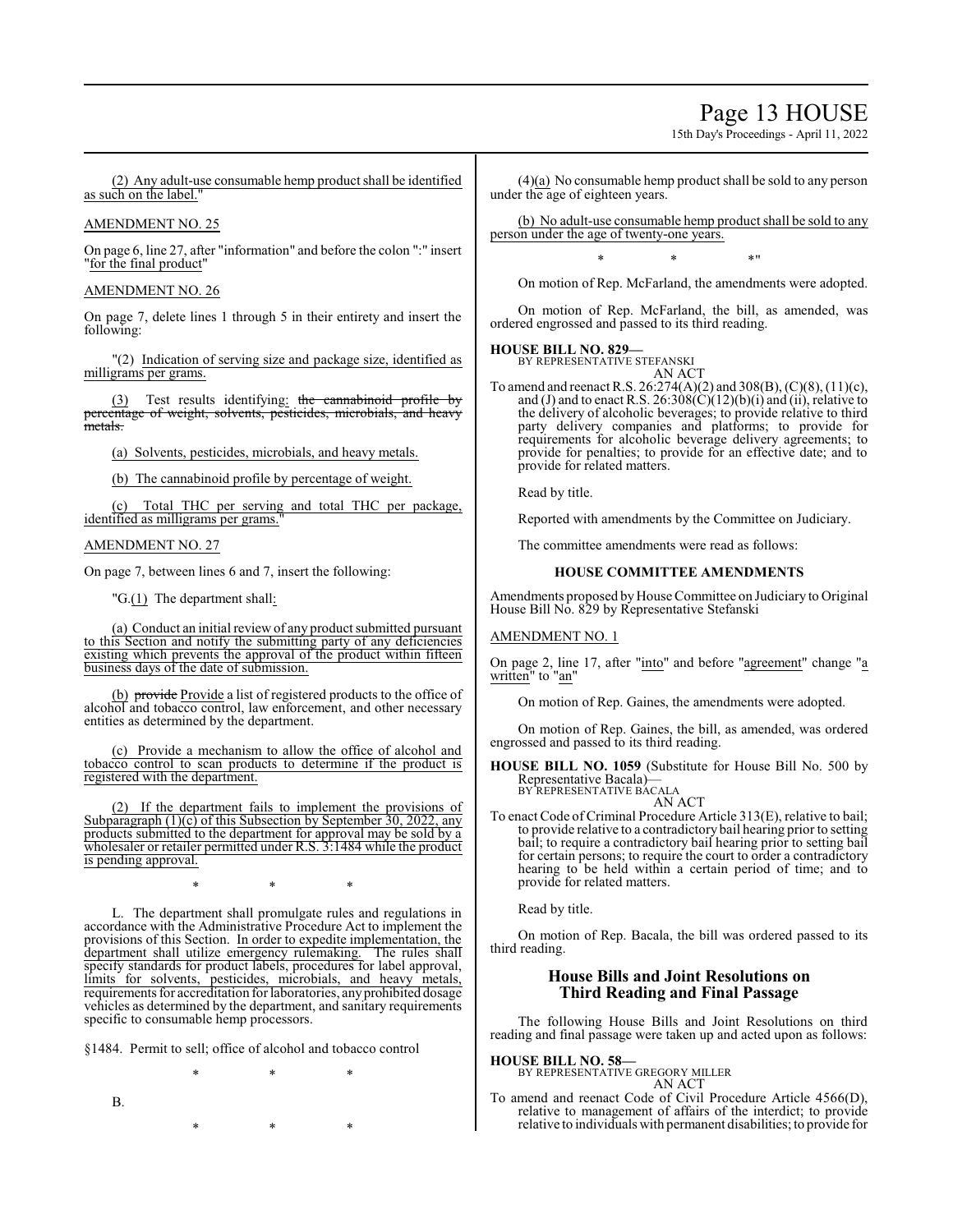# Page 13 HOUSE

15th Day's Proceedings - April 11, 2022

(2) Any adult-use consumable hemp product shall be identified as such on the label."

### AMENDMENT NO. 25

On page 6, line 27, after "information" and before the colon ":" insert "for the final product"

### AMENDMENT NO. 26

On page 7, delete lines 1 through 5 in their entirety and insert the following:

"(2) Indication of serving size and package size, identified as milligrams per grams.

(3) Test results identifying: the cannabinoid profile by percentage of weight, solvents, pesticides, microbials, and heavy .<br><del>metals.</del>

(a) Solvents, pesticides, microbials, and heavy metals.

(b) The cannabinoid profile by percentage of weight.

Total THC per serving and total THC per package, identified as milligrams per grams.

### AMENDMENT NO. 27

On page 7, between lines 6 and 7, insert the following:

"G.(1) The department shall:

(a) Conduct an initial review of any product submitted pursuant to this Section and notify the submitting party of any deficiencies existing which prevents the approval of the product within fifteen business days of the date of submission.

(b) provide Provide a list of registered products to the office of alcohol and tobacco control, law enforcement, and other necessary entities as determined by the department.

(c) Provide a mechanism to allow the office of alcohol and tobacco control to scan products to determine if the product is registered with the department.

(2) If the department fails to implement the provisions of Subparagraph (1)(c) of this Subsection by September 30, 2022, any products submitted to the department for approval may be sold by a wholesaler or retailer permitted under R.S. 3:1484 while the product is pending approval.

\* \* \*

L. The department shall promulgate rules and regulations in accordance with the Administrative Procedure Act to implement the provisions of this Section. In order to expedite implementation, the department shall utilize emergency rulemaking. The rules shall specify standards for product labels, procedures for label approval, limits for solvents, pesticides, microbials, and heavy metals, requirements for accreditation for laboratories, anyprohibited dosage vehicles as determined by the department, and sanitary requirements specific to consumable hemp processors.

§1484. Permit to sell; office of alcohol and tobacco control

\* \* \* B. \* \* \*

(4)(a) No consumable hemp product shall be sold to any person under the age of eighteen years.

(b) No adult-use consumable hemp product shall be sold to any person under the age of twenty-one years.

\* \* \*"

On motion of Rep. McFarland, the amendments were adopted.

On motion of Rep. McFarland, the bill, as amended, was ordered engrossed and passed to its third reading.

# **HOUSE BILL NO. 829—**

BY REPRESENTATIVE STEFANSKI AN ACT

To amend and reenact R.S. 26:274(A)(2) and 308(B), (C)(8), (11)(c), and (J) and to enact R.S.  $26:308(C)(12)(b)(i)$  and (ii), relative to the delivery of alcoholic beverages; to provide relative to third party delivery companies and platforms; to provide for requirements for alcoholic beverage delivery agreements; to provide for penalties; to provide for an effective date; and to provide for related matters.

Read by title.

Reported with amendments by the Committee on Judiciary.

The committee amendments were read as follows:

# **HOUSE COMMITTEE AMENDMENTS**

Amendments proposed by House Committee on Judiciary to Original House Bill No. 829 by Representative Stefanski

# AMENDMENT NO. 1

On page 2, line 17, after "into" and before "agreement" change "a written" to "an"

On motion of Rep. Gaines, the amendments were adopted.

On motion of Rep. Gaines, the bill, as amended, was ordered engrossed and passed to its third reading.

**HOUSE BILL NO. 1059** (Substitute for House Bill No. 500 by Representative Bacala)— BY REPRESENTATIVE BACALA

AN ACT

To enact Code of Criminal Procedure Article 313(E), relative to bail; to provide relative to a contradictory bail hearing prior to setting bail; to require a contradictory bail hearing prior to setting bail for certain persons; to require the court to order a contradictory hearing to be held within a certain period of time; and to provide for related matters.

Read by title.

On motion of Rep. Bacala, the bill was ordered passed to its third reading.

# **House Bills and Joint Resolutions on Third Reading and Final Passage**

The following House Bills and Joint Resolutions on third reading and final passage were taken up and acted upon as follows:

**HOUSE BILL NO. 58—**

BY REPRESENTATIVE GREGORY MILLER AN ACT

To amend and reenact Code of Civil Procedure Article 4566(D), relative to management of affairs of the interdict; to provide relative to individuals with permanent disabilities; to provide for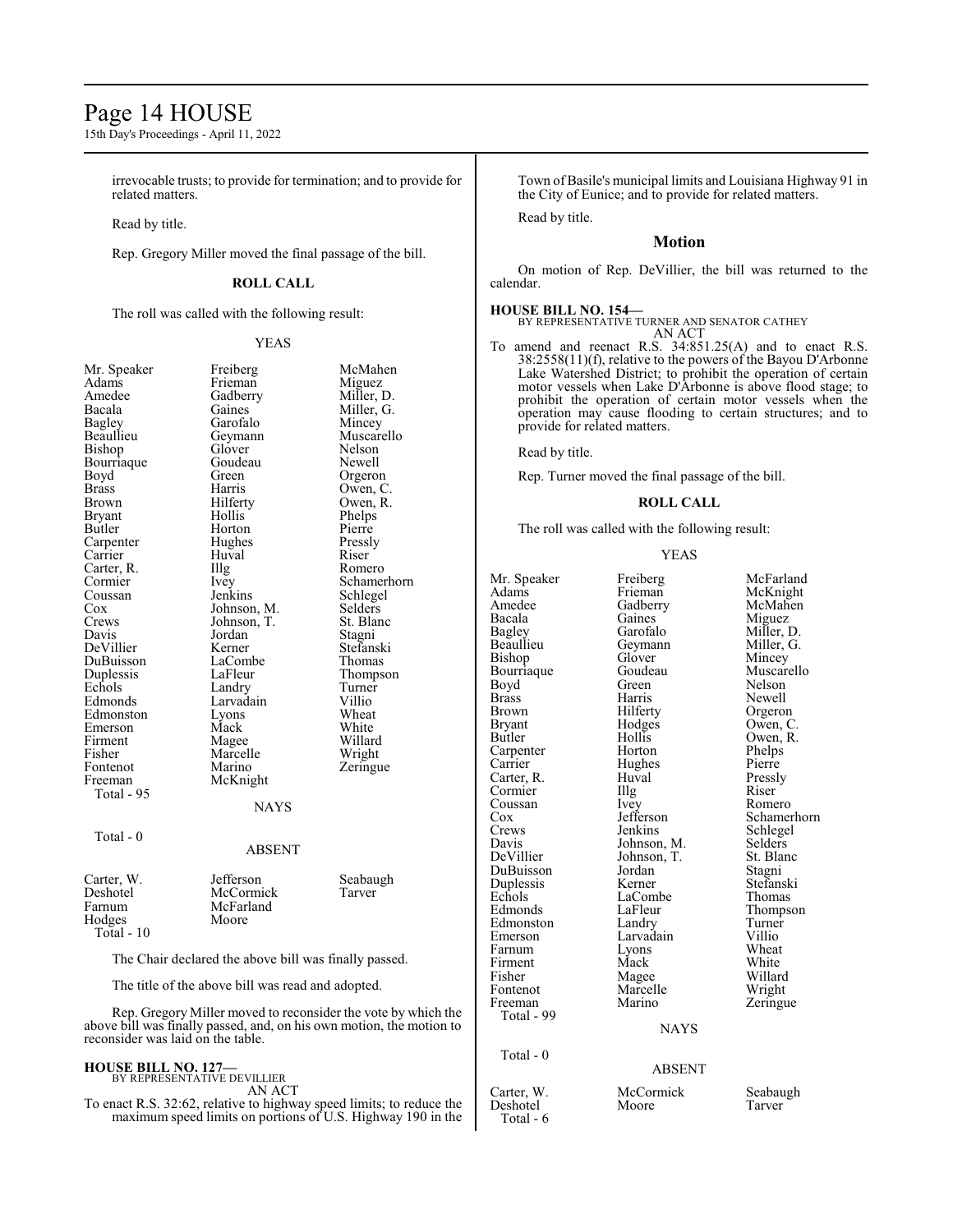# Page 14 HOUSE

15th Day's Proceedings - April 11, 2022

irrevocable trusts; to provide for termination; and to provide for related matters.

Read by title.

Rep. Gregory Miller moved the final passage of the bill.

# **ROLL CALL**

The roll was called with the following result:

YEAS

| Mr. Speaker                                                                                               | Freiberg          | McMahen     |  |
|-----------------------------------------------------------------------------------------------------------|-------------------|-------------|--|
| Adams                                                                                                     | Frieman           | Miguez      |  |
| Amedee                                                                                                    | Gadberry          | Miller, D.  |  |
| Bacala                                                                                                    | Gaines            | Miller, G.  |  |
| Bagley                                                                                                    | Garofalo          | Mincey      |  |
| Beaullieu                                                                                                 | Geymann           | Muscarello  |  |
| Bishop                                                                                                    | Glover            | Nelson      |  |
| Bourriaque                                                                                                | Goudeau           | Newell      |  |
| Boyd                                                                                                      | Green             | Orgeron     |  |
| <b>Brass</b>                                                                                              | Harris            | Owen, C.    |  |
| Brown                                                                                                     | Hilferty          | Owen, R.    |  |
| <b>Bryant</b>                                                                                             | Hollis            | Phelps      |  |
| Butler                                                                                                    | Horton            | Pierre      |  |
| Carpenter                                                                                                 | Hughes            | Pressly     |  |
| Carrier                                                                                                   | Huval             | Riser       |  |
| Carter, R.                                                                                                | $\prod_{i=1}^{n}$ | Romero      |  |
| Cormier                                                                                                   | Ivey              | Schamerhorn |  |
| Coussan                                                                                                   | Jenkins           | Schlegel    |  |
| Cox                                                                                                       | Johnson, M.       | Selders     |  |
| Crews                                                                                                     | Johnson, T.       | St. Blanc   |  |
| Davis                                                                                                     | Jordan            | Stagni      |  |
| DeVillier                                                                                                 | Kerner            | Stefanski   |  |
| DuBuisson                                                                                                 | LaCombe           | Thomas      |  |
| Duplessis                                                                                                 | LaFleur           | Thompson    |  |
| Echols                                                                                                    | Landry            | Turner      |  |
| Edmonds                                                                                                   | Larvadain         | Villio      |  |
| Edmonston                                                                                                 | Lyons             | Wheat       |  |
| Emerson                                                                                                   | Mack              | White       |  |
| Firment                                                                                                   | Magee             | Willard     |  |
| Fisher                                                                                                    | Marcelle          | Wright      |  |
| Fontenot                                                                                                  | Marino            | Zeringue    |  |
| Freeman                                                                                                   | McKnight          |             |  |
| Total - 95                                                                                                |                   |             |  |
|                                                                                                           | <b>NAYS</b>       |             |  |
|                                                                                                           |                   |             |  |
| Total - 0                                                                                                 |                   |             |  |
|                                                                                                           | <b>ABSENT</b>     |             |  |
|                                                                                                           |                   |             |  |
|                                                                                                           |                   |             |  |
| Carter, W.                                                                                                | Jefferson         | Seabaugh    |  |
| Deshotel                                                                                                  | McCormick         | Tarver      |  |
| Farnum                                                                                                    | McFarland         |             |  |
| Hodges                                                                                                    | Moore             |             |  |
| Total - 10                                                                                                |                   |             |  |
| The Chair declared the above bill was finally passed.                                                     |                   |             |  |
| The title of the above bill was read and adopted.                                                         |                   |             |  |
| Rep. Gregory Miller moved to reconsider the vote by which the                                             |                   |             |  |
| above bill was finally passed, and, on his own motion, the motion to<br>reconsider was laid on the table. |                   |             |  |

#### **HOUSE BILL NO. 127—** BY REPRESENTATIVE DEVILLIER

AN ACT

To enact R.S. 32:62, relative to highway speed limits; to reduce the maximum speed limits on portions of U.S. Highway 190 in the Town of Basile's municipal limits and Louisiana Highway 91 in the City of Eunice; and to provide for related matters.

Read by title.

# **Motion**

On motion of Rep. DeVillier, the bill was returned to the calendar.

**HOUSE BILL NO. 154—** BY REPRESENTATIVE TURNER AND SENATOR CATHEY AN ACT

To amend and reenact R.S. 34:851.25(A) and to enact R.S. 38:2558(11)(f), relative to the powers of the Bayou D'Arbonne Lake Watershed District; to prohibit the operation of certain motor vessels when Lake D'Arbonne is above flood stage; to prohibit the operation of certain motor vessels when the operation may cause flooding to certain structures; and to provide for related matters.

Read by title.

Rep. Turner moved the final passage of the bill.

### **ROLL CALL**

The roll was called with the following result:

#### YEAS

| Mr. Speaker<br>Adams<br>Amedee<br>Bacala<br>Bagley<br>Beaullieu<br>Bishop<br>Bourriaque<br>Boyd<br><b>Brass</b><br><b>Brown</b><br>Bryant<br>Butler<br>Carpenter<br>Carrier<br>Carter, R.<br>Cormier<br>Coussan<br>Cox<br>Crews<br>Davis<br>DeVillier<br>DuBuisson<br>Duplessis<br>Echols<br>Edmonds<br>Edmonston<br>Emerson | Freiberg<br>Frieman<br>Gadberry<br>Gaines<br>Garofalo<br>Geymann<br>Glover<br>Goudeau<br>Green<br>Harris<br>Hilferty<br>Hodges<br>Hollis<br>Horton<br>Hughes<br>Huval<br>Illg<br>Ivey<br>Jefferson<br>Jenkins<br>Johnson, M.<br>Johnson, T.<br>Jordan<br>Kerner<br>LaCombe<br>LaFleur<br>Landry<br>Larvadain | McFarland<br>McKnight<br>McMahen<br>Miguez<br>Miller, D.<br>Miller, G.<br>Mincey<br>Muscarello<br>Nelson<br>Newell<br>Orgeron<br>Owen, C.<br>Owen, R.<br>Phelps<br>Pierre<br>Pressly<br>Riser<br>Romero<br>Schamerhorn<br>Schlegel<br>Selders<br>St. Blanc<br>Stagni<br>Stefanski<br>Thomas<br>Thompson<br>Turner<br>Villio |
|------------------------------------------------------------------------------------------------------------------------------------------------------------------------------------------------------------------------------------------------------------------------------------------------------------------------------|--------------------------------------------------------------------------------------------------------------------------------------------------------------------------------------------------------------------------------------------------------------------------------------------------------------|-----------------------------------------------------------------------------------------------------------------------------------------------------------------------------------------------------------------------------------------------------------------------------------------------------------------------------|
|                                                                                                                                                                                                                                                                                                                              |                                                                                                                                                                                                                                                                                                              |                                                                                                                                                                                                                                                                                                                             |
|                                                                                                                                                                                                                                                                                                                              |                                                                                                                                                                                                                                                                                                              |                                                                                                                                                                                                                                                                                                                             |
|                                                                                                                                                                                                                                                                                                                              |                                                                                                                                                                                                                                                                                                              |                                                                                                                                                                                                                                                                                                                             |
|                                                                                                                                                                                                                                                                                                                              |                                                                                                                                                                                                                                                                                                              |                                                                                                                                                                                                                                                                                                                             |
|                                                                                                                                                                                                                                                                                                                              |                                                                                                                                                                                                                                                                                                              |                                                                                                                                                                                                                                                                                                                             |
|                                                                                                                                                                                                                                                                                                                              |                                                                                                                                                                                                                                                                                                              |                                                                                                                                                                                                                                                                                                                             |
|                                                                                                                                                                                                                                                                                                                              |                                                                                                                                                                                                                                                                                                              |                                                                                                                                                                                                                                                                                                                             |
|                                                                                                                                                                                                                                                                                                                              |                                                                                                                                                                                                                                                                                                              |                                                                                                                                                                                                                                                                                                                             |
|                                                                                                                                                                                                                                                                                                                              |                                                                                                                                                                                                                                                                                                              |                                                                                                                                                                                                                                                                                                                             |
|                                                                                                                                                                                                                                                                                                                              |                                                                                                                                                                                                                                                                                                              |                                                                                                                                                                                                                                                                                                                             |
|                                                                                                                                                                                                                                                                                                                              |                                                                                                                                                                                                                                                                                                              |                                                                                                                                                                                                                                                                                                                             |
|                                                                                                                                                                                                                                                                                                                              |                                                                                                                                                                                                                                                                                                              | Wheat                                                                                                                                                                                                                                                                                                                       |
| Farnum<br>Firment                                                                                                                                                                                                                                                                                                            | Lyons<br>Mack                                                                                                                                                                                                                                                                                                | White                                                                                                                                                                                                                                                                                                                       |
| Fisher                                                                                                                                                                                                                                                                                                                       | Magee                                                                                                                                                                                                                                                                                                        | Willard                                                                                                                                                                                                                                                                                                                     |
| Fontenot                                                                                                                                                                                                                                                                                                                     | Marcelle                                                                                                                                                                                                                                                                                                     | Wright                                                                                                                                                                                                                                                                                                                      |
| Freeman                                                                                                                                                                                                                                                                                                                      | Marino                                                                                                                                                                                                                                                                                                       | Zeringue                                                                                                                                                                                                                                                                                                                    |
| Total - 99                                                                                                                                                                                                                                                                                                                   |                                                                                                                                                                                                                                                                                                              |                                                                                                                                                                                                                                                                                                                             |
|                                                                                                                                                                                                                                                                                                                              | <b>NAYS</b>                                                                                                                                                                                                                                                                                                  |                                                                                                                                                                                                                                                                                                                             |
| $Total - 0$                                                                                                                                                                                                                                                                                                                  |                                                                                                                                                                                                                                                                                                              |                                                                                                                                                                                                                                                                                                                             |
|                                                                                                                                                                                                                                                                                                                              | <b>ABSENT</b>                                                                                                                                                                                                                                                                                                |                                                                                                                                                                                                                                                                                                                             |
| Carter, W.<br>Deshotel<br>Total - 6                                                                                                                                                                                                                                                                                          | McCormick<br>Moore                                                                                                                                                                                                                                                                                           | Seabaugh<br>Tarver                                                                                                                                                                                                                                                                                                          |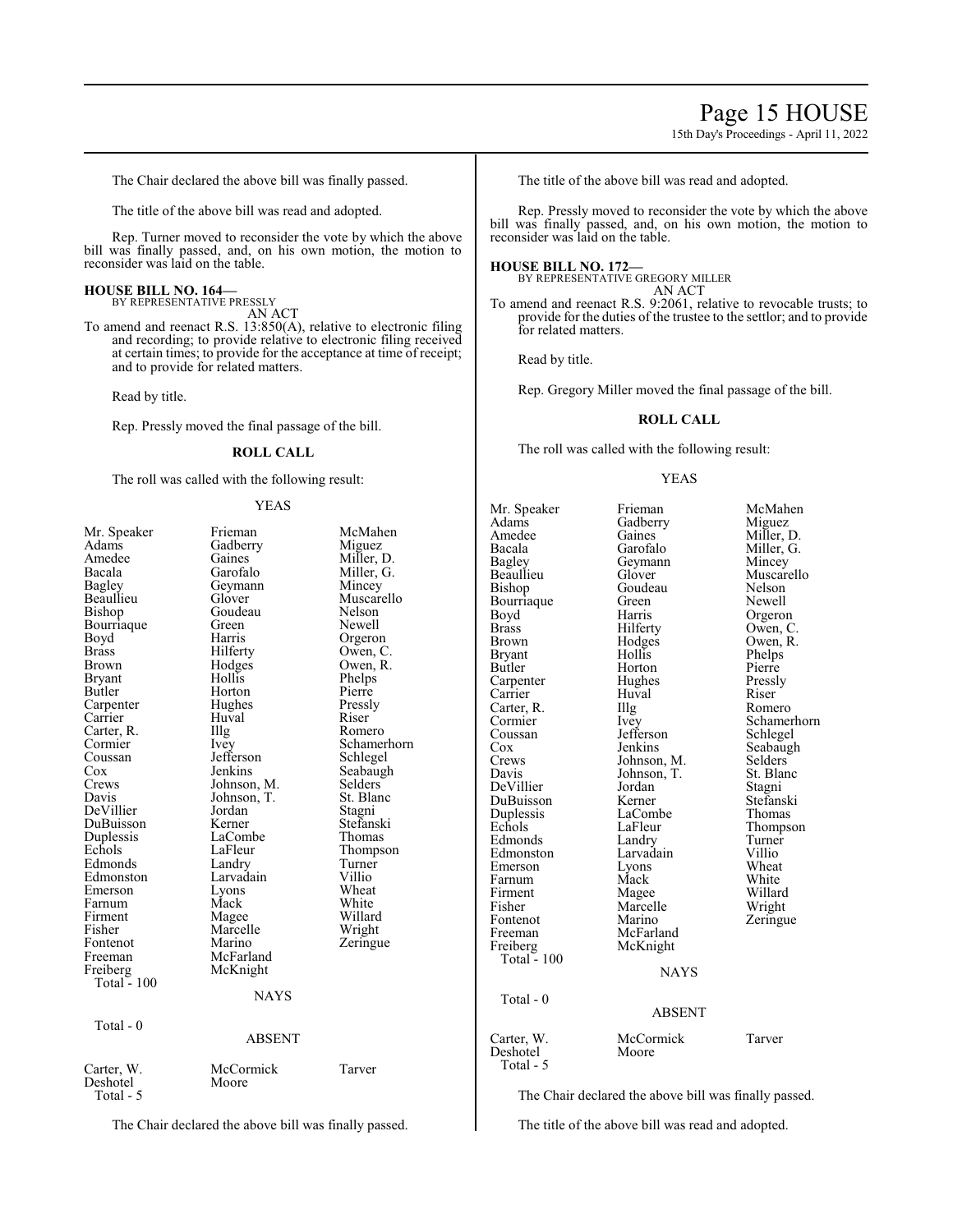15th Day's Proceedings - April 11, 2022

The Chair declared the above bill was finally passed.

The title of the above bill was read and adopted.

Rep. Turner moved to reconsider the vote by which the above bill was finally passed, and, on his own motion, the motion to reconsider was laid on the table.

#### **HOUSE BILL NO. 164—** BY REPRESENTATIVE PRESSLY

AN ACT

To amend and reenact R.S. 13:850(A), relative to electronic filing and recording; to provide relative to electronic filing received at certain times; to provide for the acceptance at time of receipt; and to provide for related matters.

Read by title.

Rep. Pressly moved the final passage of the bill.

# **ROLL CALL**

The roll was called with the following result:

#### YEAS

| Mr. Speaker           | Frieman       | McMahen     |
|-----------------------|---------------|-------------|
| Adams                 | Gadberry      | Miguez      |
| Amedee                | Gaines        | Miller, D.  |
| Bacala                | Garofalo      | Miller, G.  |
| Bagley                | Geymann       | Mincey      |
| Beaullieu             | Glover        | Muscarello  |
| Bishop                | Goudeau       | Nelson      |
| Bourriaque            | Green         | Newell      |
| Boyd                  | Harris        | Orgeron     |
| Brass                 | Hilferty      | Owen, C.    |
| Brown                 | Hodges        | Owen, R.    |
| Bryant                | Hollis        | Phelps      |
| Butler                | Horton        | Pierre      |
| Carpenter             | Hughes        | Pressly     |
| Carrier               | Huval         | Riser       |
| Carter, R.            | Illg          | Romero      |
| Cormier               | Ivey          | Schamerhorn |
| Coussan               | Jefferson     | Schlegel    |
| Cox                   | Jenkins       | Seabaugh    |
| Crews                 | Johnson, M.   | Selders     |
| Davis                 | Johnson, T.   | St. Blanc   |
| DeVillier             | Jordan        | Stagni      |
| DuBuisson             | Kerner        | Stefanski   |
| Duplessis             | LaCombe       | Thomas      |
| Echols                | LaFleur       | Thompson    |
| Edmonds               | Landry        | Turner      |
| Edmonston             | Larvadain     | Villio      |
| Emerson               | Lyons         | Wheat       |
| Farnum                | Mack          | White       |
| Firment               | Magee         | Willard     |
| Fisher                | Marcelle      | Wright      |
| Fontenot              | Marino        | Zeringue    |
| Freeman               | McFarland     |             |
| Freiberg              | McKnight      |             |
| Total - 100           |               |             |
|                       | <b>NAYS</b>   |             |
| Total - 0             |               |             |
|                       | <b>ABSENT</b> |             |
| Carter, W.            | McCormick     | Tarver      |
| Deshotel<br>Total - 5 | Moore         |             |

The Chair declared the above bill was finally passed.

The title of the above bill was read and adopted.

Rep. Pressly moved to reconsider the vote by which the above bill was finally passed, and, on his own motion, the motion to reconsider was laid on the table.

#### **HOUSE BILL NO. 172—**

BY REPRESENTATIVE GREGORY MILLER AN ACT

To amend and reenact R.S. 9:2061, relative to revocable trusts; to provide for the duties of the trustee to the settlor; and to provide for related matters.

Read by title.

Rep. Gregory Miller moved the final passage of the bill.

# **ROLL CALL**

The roll was called with the following result:

#### YEAS

Mr. Speaker Frieman McMahen<br>Adams Gadberry Miguez Adams Gadberry<br>Amedee Gaines Amedee Gaines Miller, D.<br>Bacala Garofalo Miller, G. Bacala Garofalo Miller, G. Bagley Geymann<br>Beaullieu Glover Beaulieu Glover Muscarello<br>Bishop Goudeau Nelson Bourriaque Green<br>Boyd Harris Boyd Harris Orgeron<br>Brass Hilferty Owen, C Brass Hilferty Owen, C.<br>Brown Hodges Owen, R. Bryant Hollis Phelps<br>Butler Horton Pierre Carpenter Hughes Pressl<br>Carrier Huval Riser Carrier Huval Riser<br>Carter, R. Illg Romero Carter, R. Illg<br>Cormier Ivey Cormier Ivey Schamerhorn<br>
Coussan Jefferson Schlegel Coussan Jefferson<br>Cox Jenkins Cox Jenkins Seabaugh<br>Crews Johnson M. Selders Davis Johnson, T. St. Blanck<br>DeVillier Jordan Stagni DeVillier Jordan Stagni DuBuisson Kerner Stefansk<br>Duplessis LaCombe Thomas Duplessis LaCombe<br>Echols LaFleur Edmonds Landry Turner<br>Edmonston Larvadain Villio Edmonston Larvadain Villio<br>Emerson Lyons Wheat Emerson Lyons Wheat<br>
Farnum Mack White<br>
Mack White Farnum<br>Firment Firment Magee Willard<br>Fisher Marcelle Wright Fontenot<br>Freeman Freiberg McKnight Total - 100 Total - 0 Deshotel

Total - 5

Goudeau Nelson<br>Green Newell Hodges Owen, R.<br>Hollis Phelps Horton Pierre<br>
Hughes Pressly Johnson, M. Selders<br>Johnson, T. St. Blanc LaFleur Thompson<br>Landry Turner Marcelle Wright<br>
Marino Zeringue McFarland<br>McKnight NAYS

ABSENT

# Carter, W. McCormick Tarver

The Chair declared the above bill was finally passed.

The title of the above bill was read and adopted.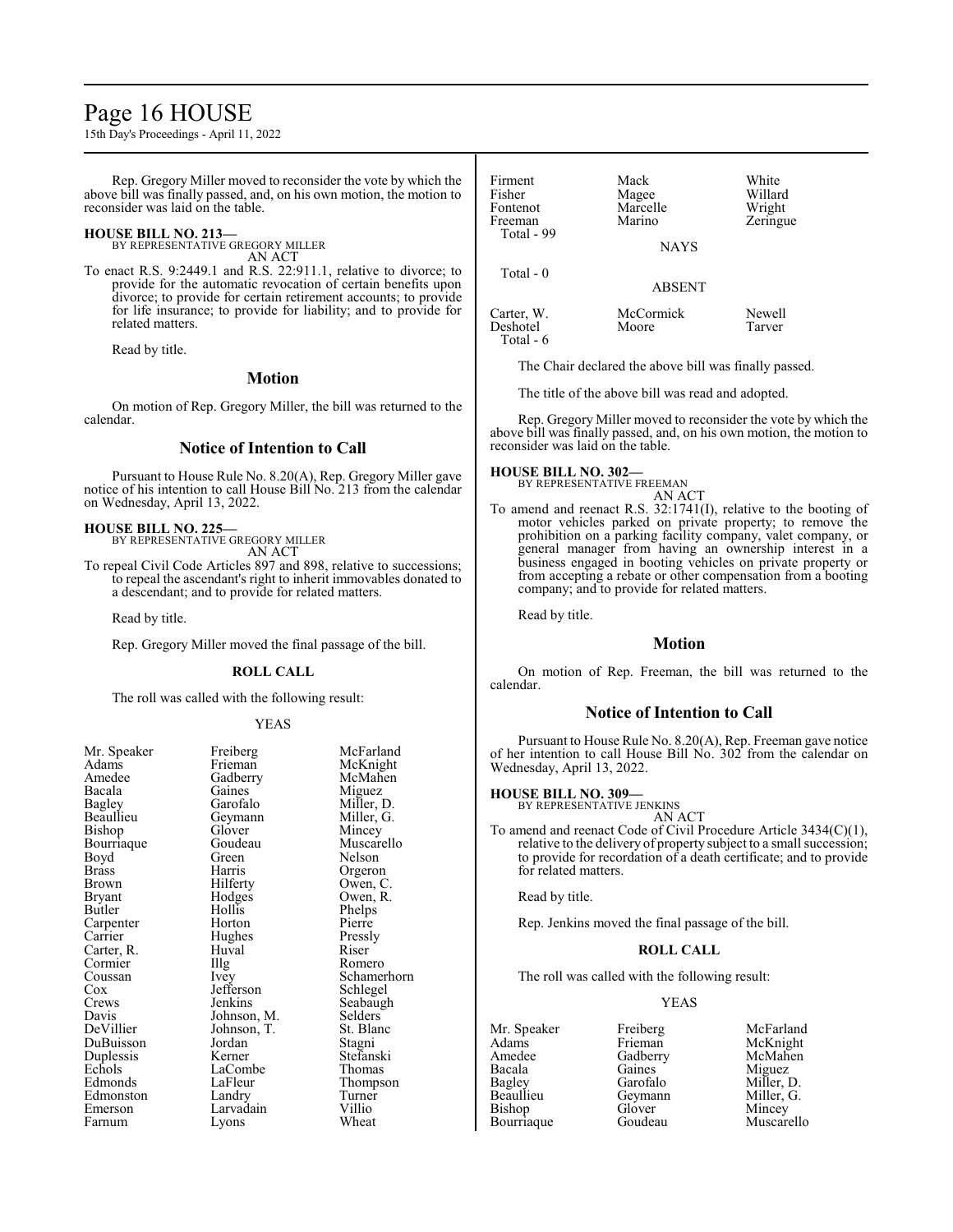# Page 16 HOUSE

15th Day's Proceedings - April 11, 2022

Rep. Gregory Miller moved to reconsider the vote by which the above bill was finally passed, and, on his own motion, the motion to reconsider was laid on the table.

### **HOUSE BILL NO. 213—**

BY REPRESENTATIVE GREGORY MILLER

AN ACT

To enact R.S. 9:2449.1 and R.S. 22:911.1, relative to divorce; to provide for the automatic revocation of certain benefits upon divorce; to provide for certain retirement accounts; to provide for life insurance; to provide for liability; and to provide for related matters.

Read by title.

# **Motion**

On motion of Rep. Gregory Miller, the bill was returned to the calendar.

# **Notice of Intention to Call**

Pursuant to House Rule No. 8.20(A), Rep. Gregory Miller gave notice of his intention to call House Bill No. 213 from the calendar on Wednesday, April 13, 2022.

#### **HOUSE BILL NO. 225—**

BY REPRESENTATIVE GREGORY MILLER AN ACT

To repeal Civil Code Articles 897 and 898, relative to successions; to repeal the ascendant's right to inherit immovables donated to a descendant; and to provide for related matters.

Read by title.

Rep. Gregory Miller moved the final passage of the bill.

#### **ROLL CALL**

The roll was called with the following result:

#### YEAS

| Freiberg  | McFarland                                                                                                            |
|-----------|----------------------------------------------------------------------------------------------------------------------|
| Frieman   | McKnight                                                                                                             |
|           | McMahen                                                                                                              |
| Gaines    | Miguez                                                                                                               |
| Garofalo  | Miller, D.                                                                                                           |
|           | Miller, G.                                                                                                           |
|           | Mincey                                                                                                               |
| Goudeau   | Muscarello                                                                                                           |
| Green     | Nelson                                                                                                               |
| Harris    | Orgeron                                                                                                              |
|           | Owen, C.                                                                                                             |
|           | Owen, R.                                                                                                             |
| Hollis    | Phelps                                                                                                               |
| Horton    | Pierre                                                                                                               |
|           | Pressly                                                                                                              |
| Huval     | Riser                                                                                                                |
|           | Romero                                                                                                               |
|           | Schamerho                                                                                                            |
| Jefferson | Schlegel                                                                                                             |
| Jenkins   | Seabaugh                                                                                                             |
|           | Selders                                                                                                              |
|           | St. Blanc                                                                                                            |
| Jordan    | Stagni                                                                                                               |
| Kerner    | Stefanski                                                                                                            |
| LaCombe   | Thomas                                                                                                               |
| LaFleur   | Thompson                                                                                                             |
| Landry    | Turner                                                                                                               |
| Larvadain | Villio                                                                                                               |
|           | Wheat                                                                                                                |
|           | Gadberry<br>Geymann<br>Glover<br>Hilferty<br>Hodges<br>Hughes<br>Illg<br>Ivey<br>Johnson, M.<br>Johnson, T.<br>Lyons |

Frieman McKnight<br>Gadberry McMahen Gaines<br>Garofalo Garofalo Miller, D.<br>Geymann Miller, G. Geymann Miller, G.<br>Glover Mincev Glover Mincey<br>Goudeau Muscar Goudeau Muscarello<br>Green Nelson Green Nelson<br>Harris Orgeror Harris Orgeron<br>Hilferty Owen, C Hilferty Owen, C.<br>Hodges Owen, R. Hodges Owen, R.<br>Hollis Phelps Hollis Phelps<br>
Horton Pierre Hughes Pressl<br>Huyal Riser Ivey Schamerhorn<br>Jefferson Schlegel Jefferson<br>Jenkins Johnson, M. Selders<br>Johnson, T. St. Blanc Johnson, T. St. Blanch<br>Jordan Stagni LaCombe<br>LaFleur Landry Turner<br>
Larvadain Villio Larvadain Lyons Wheat

| Firment<br>Fisher<br>Fontenot<br>Freeman | Mack<br>Magee<br>Marcelle<br>Marino | White<br>Willard<br>Wright<br>Zeringue |
|------------------------------------------|-------------------------------------|----------------------------------------|
| Total - 99                               | <b>NAYS</b>                         |                                        |
| Total $-0$                               | <b>ABSENT</b>                       |                                        |

Carter, W. McCormick Newell Deshotel Total - 6

The Chair declared the above bill was finally passed.

The title of the above bill was read and adopted.

Rep. Gregory Miller moved to reconsider the vote by which the above bill was finally passed, and, on his own motion, the motion to reconsider was laid on the table.

#### **HOUSE BILL NO. 302—** BY REPRESENTATIVE FREEMAN

AN ACT To amend and reenact R.S. 32:1741(I), relative to the booting of motor vehicles parked on private property; to remove the prohibition on a parking facility company, valet company, or general manager from having an ownership interest in a business engaged in booting vehicles on private property or from accepting a rebate or other compensation from a booting company; and to provide for related matters.

Read by title.

#### **Motion**

On motion of Rep. Freeman, the bill was returned to the calendar.

#### **Notice of Intention to Call**

Pursuant to House Rule No. 8.20(A), Rep. Freeman gave notice of her intention to call House Bill No. 302 from the calendar on Wednesday, April 13, 2022.

#### **HOUSE BILL NO. 309—**

BY REPRESENTATIVE JENKINS AN ACT

To amend and reenact Code of Civil Procedure Article 3434(C)(1), relative to the delivery of property subject to a small succession; to provide for recordation of a death certificate; and to provide for related matters.

Read by title.

Rep. Jenkins moved the final passage of the bill.

# **ROLL CALL**

The roll was called with the following result:

#### YEAS

- Amedee Gadberry<br>Bacala Gaines Beaullieu Geymann<br>Bishop Glover Bourriaque
- Adams Frieman McKnight<br>Amedee Gadberry McMahen Bacala Gaines Miguez Bagley Garofalo Miller, D. Glover Mincey<br>Goudeau Muscarello

Mr. Speaker Freiberg McFarland<br>Adams Frieman McKnight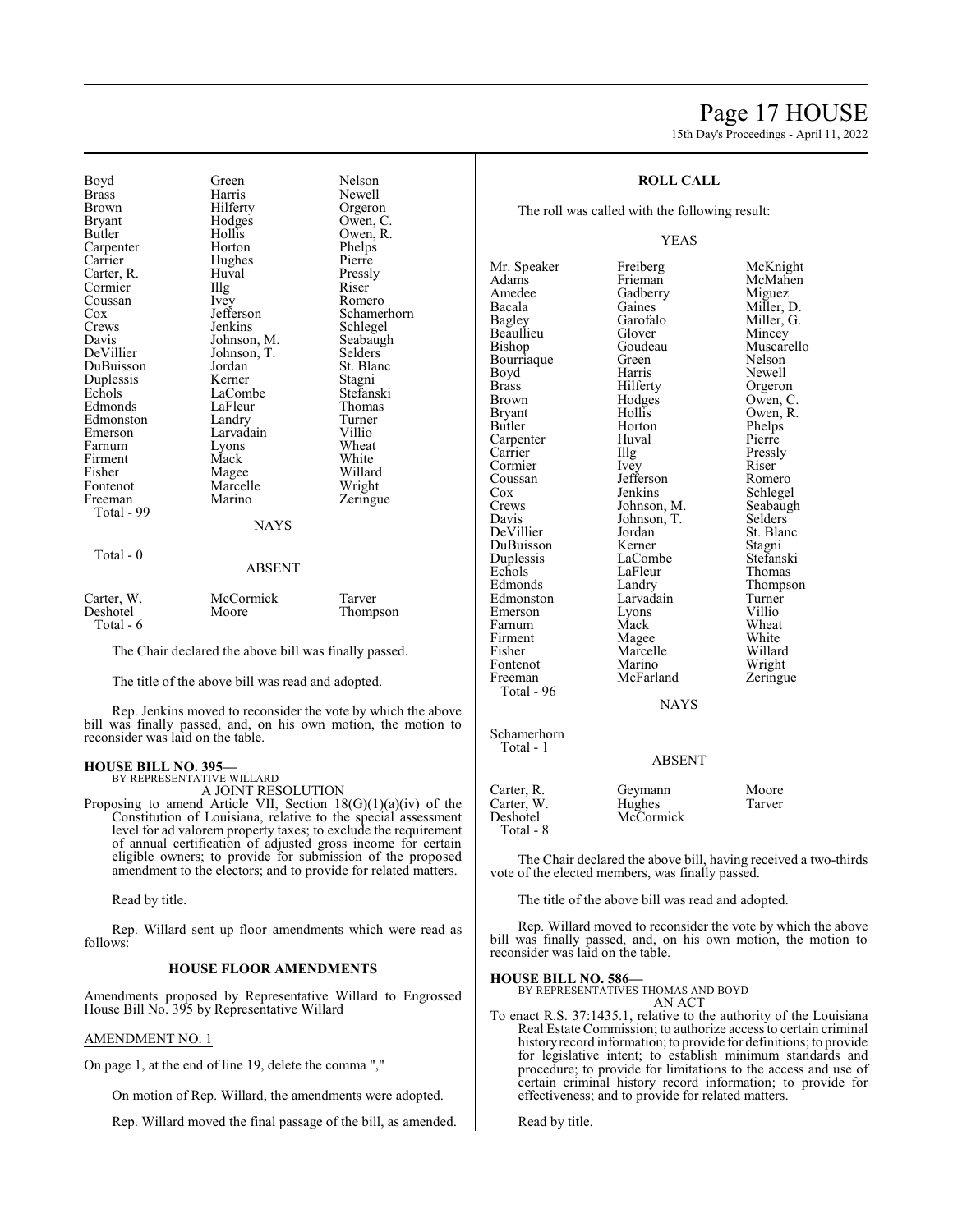# Page 17 HOUSE 15th Day's Proceedings - April 11, 2022

Bryant Hodges<br>Butler Hollis Coussan Ivey<br>Cox Jefferson DuBuisson Jordan<br>Dunlessis Kerner Firment Mack<br>Fisher Magee Fontenot Marcelle<br>Freeman Marino Total - 99

Total - 0

Boyd Green Nelson<br>Brass Harris Newell Brass Harris Newell Brown Hilferty Orgeron<br>Bryant Hodges Owen, C Hollis Owen, R.<br>Horton Phelps Carpenter Horton Phelps<br>
Carrier Hughes Pierre Carrier Hughes Pierre<br>Carter, R. Huval Pressly Carter, R. Huval Pressl<br>Cormier Illg Riser Cormier Illg Riser<br>
Coussan Ivey Romero Cox Jefferson Schamerhorn<br>Crews Jenkins Schlegel Crews Jenkins Schlegel<br>
Davis Johnson, M. Seabaugh Davis Johnson, M. Seabaugh<br>DeVillier Johnson, T. Selders Johnson, T. Selders<br>Jordan St. Blanc Duplessis Kerner Stagni<br>Echols LaCombe Stefanski LaCombe<br>LaFleur Stefansk<br>Thomas Edmonds LaFleur Thoma<br>
Edmonston Landry Turner Edmonston Landry Turne<br>
Emerson Larvadain Villio Emerson Larvadain Villio<br>
Farnum Lyons Wheat Lyons Wheat<br>Mack White Fisher Magee Willard **NAYS** 

#### ABSENT

Zeringue

| Carter, W. | McCormick | Tarver   |
|------------|-----------|----------|
| Deshotel   | Moore     | Thompson |
| Total - 6  |           |          |

The Chair declared the above bill was finally passed.

The title of the above bill was read and adopted.

Rep. Jenkins moved to reconsider the vote by which the above bill was finally passed, and, on his own motion, the motion to reconsider was laid on the table.

#### **HOUSE BILL NO. 395—** BY REPRESENTATIVE WILLARD

A JOINT RESOLUTION

Proposing to amend Article VII, Section 18(G)(1)(a)(iv) of the Constitution of Louisiana, relative to the special assessment level for ad valorem property taxes; to exclude the requirement of annual certification of adjusted gross income for certain eligible owners; to provide for submission of the proposed amendment to the electors; and to provide for related matters.

Read by title.

Rep. Willard sent up floor amendments which were read as follows:

#### **HOUSE FLOOR AMENDMENTS**

Amendments proposed by Representative Willard to Engrossed House Bill No. 395 by Representative Willard

#### AMENDMENT NO. 1

On page 1, at the end of line 19, delete the comma ","

On motion of Rep. Willard, the amendments were adopted.

Rep. Willard moved the final passage of the bill, as amended.

### **ROLL CALL**

The roll was called with the following result:

#### YEAS

Mr. Speaker Freiberg McKnight<br>
Adams Frieman McMahen Adams Frieman McMahen<br>Amedee Gadberry Miguez Amedee Gadberry<br>Bacala Gaines Bacala Gaines Miller, D.<br>Bagley Garofalo Miller, G. Beaullieu Glover<br>Bishop Goudeau Bourriaque Green Nelson<br>Boyd Harris Newell Boyd Harris<br>Brass Hilferty Brass Hilferty Orgeron<br>Brown Hodges Owen, C Brown Hodges Owen, C.<br>Bryant Hollis Owen, R. Bryant Hollis Owen, R.<br>Butler Horton Phelps Carpenter Huv<br>Carrier Hllg Cormier Ivey Riser Coussan Jefferson Romero<br>Cox Jenkins Schlege Cox Jenkins Schlegel<br>Crews Johnson, M. Seabaugh Crews Johnson, M. Seabaughter Seabaughter Seabaughter Seabaughter Seabaughter Seabaughter Seabaughter Seabaughter Seabaughter Seabaughter Seabaughter Seabaughter Seabaughter Seabaughter Seabaughter Seabaughter Seabaughter Davis Johnson, T.<br>DeVillier Jordan DuBuisson Kerner Stagni<br>
Duplessis LaCombe Stefanski Duplessis LaCombe Stefanski Echols LaFleur<br>Edmonds Landry Edmonston Larvadain Turner<br>Emerson Lyons Villio Emerson Lyons Villio<br>
Farnum Mack Wheat Farnum Mack Wheat<br>Firment Magee White Firment Magee White<br>
Fisher Marcelle Willard Fontenot Marino Wright<br>
Freeman McFarland Zeringue McFarland Total - 96 Schamerhorn

Total - 1

Garofalo Miller, G.<br>Glover Mincey Goudeau Muscarello<br>Green Nelson Horton Phelps<br>Huval Pierre Pressly Jordan St. Blanc<br>Kerner Stagni Landry Thompson<br>Larvadain Turner Marcelle Willard<br>
Marino Wright

NAYS

#### ABSENT

| Carter, R.<br>Carter, W.<br>Deshotel | Geymann<br>Hughes<br>McCormick | Moore<br>Tarver |
|--------------------------------------|--------------------------------|-----------------|
| Total - 8                            |                                |                 |

The Chair declared the above bill, having received a two-thirds vote of the elected members, was finally passed.

The title of the above bill was read and adopted.

Rep. Willard moved to reconsider the vote by which the above bill was finally passed, and, on his own motion, the motion to reconsider was laid on the table.

#### **HOUSE BILL NO. 586—**

BY REPRESENTATIVES THOMAS AND BOYD

AN ACT

To enact R.S. 37:1435.1, relative to the authority of the Louisiana Real Estate Commission; to authorize access to certain criminal history record information; to provide for definitions; to provide for legislative intent; to establish minimum standards and procedure; to provide for limitations to the access and use of certain criminal history record information; to provide for effectiveness; and to provide for related matters.

Read by title.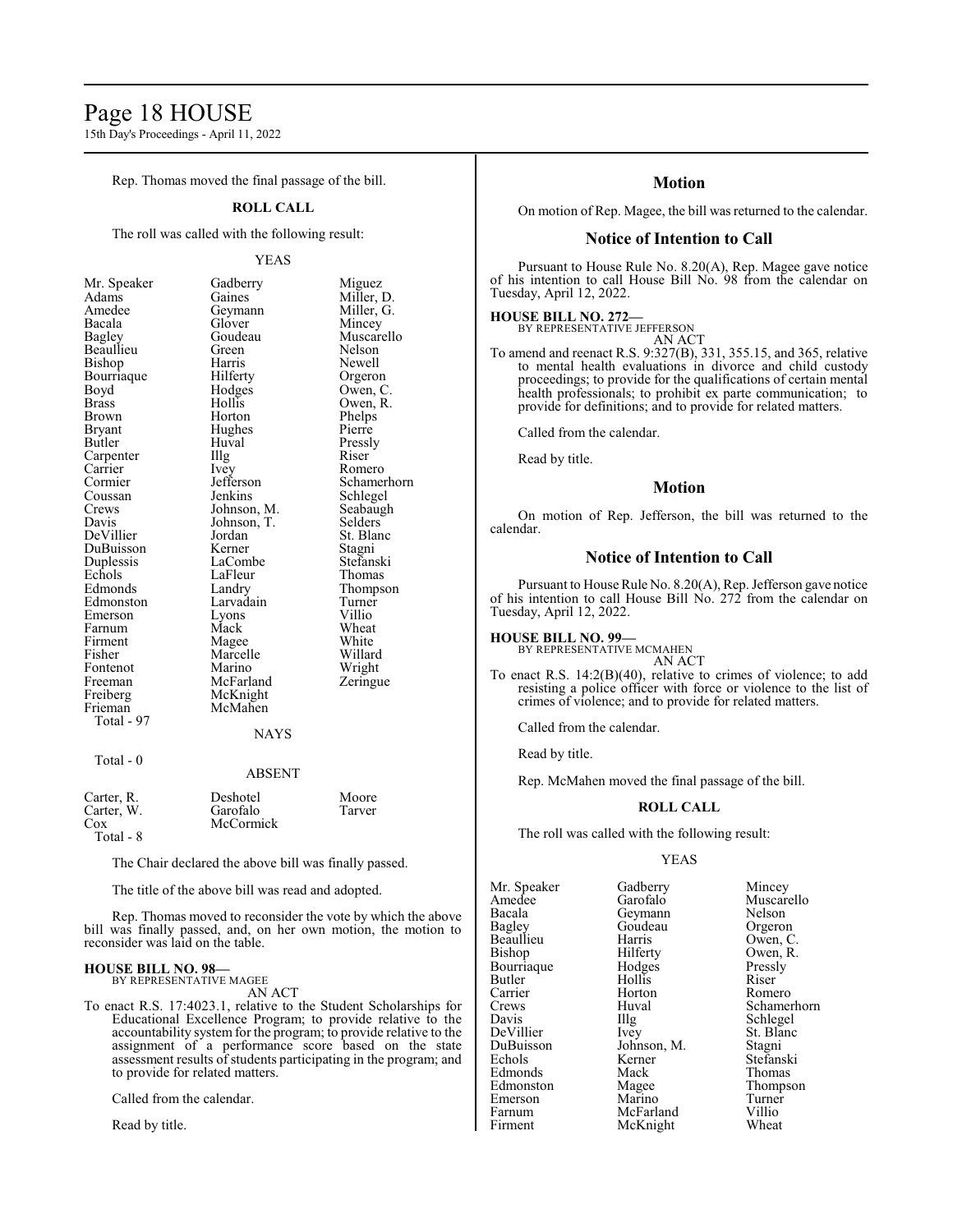# Page 18 HOUSE

15th Day's Proceedings - April 11, 2022

Rep. Thomas moved the final passage of the bill.

### **ROLL CALL**

The roll was called with the following result:

#### YEAS

| Mr. Speaker   | Gadberry    | Miguez      |
|---------------|-------------|-------------|
| Adams         | Gaines      | Miller, D.  |
| Amedee        | Geymann     | Miller, G.  |
| Bacala        | Glover      | Mincey      |
| Bagley        | Goudeau     | Muscarello  |
| Beaullieu     | Green       | Nelson      |
| Bishop        | Harris      | Newell      |
| Bourriaque    | Hilferty    | Orgeron     |
| Boyd          | Hodges      | Owen, C.    |
| <b>Brass</b>  | Hollis      | Owen, R.    |
| <b>Brown</b>  | Horton      | Phelps      |
| <b>Bryant</b> | Hughes      | Pierre      |
| Butler        | Huval       | Pressly     |
| Carpenter     | Illg        | Riser       |
| Carrier       | Ivey        | Romero      |
| Cormier       | Jefferson   | Schamerhorn |
| Coussan       | Jenkins     | Schlegel    |
| Crews         | Johnson, M. | Seabaugh    |
| Davis         | Johnson, T. | Selders     |
| DeVillier     | Jordan      | St. Blanc   |
| DuBuisson     | Kerner      | Stagni      |
| Duplessis     | LaCombe     | Stefanski   |
| Echols        | LaFleur     | Thomas      |
| Edmonds       | Landry      | Thompson    |
| Edmonston     | Larvadain   | Turner      |
| Emerson       | Lyons       | Villio      |
| Farnum        | Mack        | Wheat       |
| Firment       | Magee       | White       |
| Fisher        | Marcelle    | Willard     |
| Fontenot      | Marino      | Wright      |
| Freeman       | McFarland   | Zeringue    |
| Freiberg      | McKnight    |             |
| Frieman       | McMahen     |             |
| Total - 97    |             |             |
|               | <b>NAYS</b> |             |
| Total - 0     |             |             |
|               | ABSENT      |             |
| Carter, R.    | Deshotel    | Moore       |

| Carter, R. | Deshotel  | Moore  |
|------------|-----------|--------|
| Carter, W. | Garofalo  | Tarver |
| Cox        | McCormick |        |
| Total - 8  |           |        |

The Chair declared the above bill was finally passed.

The title of the above bill was read and adopted.

Rep. Thomas moved to reconsider the vote by which the above bill was finally passed, and, on her own motion, the motion to reconsider was laid on the table.

#### **HOUSE BILL NO. 98—** BY REPRESENTATIVE MAGEE

AN ACT

To enact R.S. 17:4023.1, relative to the Student Scholarships for Educational Excellence Program; to provide relative to the accountability system for the program; to provide relative to the assignment of a performance score based on the state assessment results of students participating in the program; and to provide for related matters.

Called from the calendar.

Read by title.

# **Motion**

On motion of Rep. Magee, the bill was returned to the calendar.

# **Notice of Intention to Call**

Pursuant to House Rule No. 8.20(A), Rep. Magee gave notice of his intention to call House Bill No. 98 from the calendar on Tuesday, April 12, 2022.

# **HOUSE BILL NO. 272—**

BY REPRESENTATIVE JEFFERSON AN ACT

To amend and reenact R.S. 9:327(B), 331, 355.15, and 365, relative to mental health evaluations in divorce and child custody proceedings; to provide for the qualifications of certain mental health professionals; to prohibit ex parte communication; to provide for definitions; and to provide for related matters.

Called from the calendar.

Read by title.

# **Motion**

On motion of Rep. Jefferson, the bill was returned to the calendar.

#### **Notice of Intention to Call**

Pursuant to House Rule No. 8.20(A), Rep. Jefferson gave notice of his intention to call House Bill No. 272 from the calendar on Tuesday, April 12, 2022.

**HOUSE BILL NO. 99—** BY REPRESENTATIVE MCMAHEN AN ACT

To enact R.S. 14:2(B)(40), relative to crimes of violence; to add resisting a police officer with force or violence to the list of crimes of violence; and to provide for related matters.

Called from the calendar.

Read by title.

Rep. McMahen moved the final passage of the bill.

#### **ROLL CALL**

The roll was called with the following result:

McKnight

#### YEAS

Mr. Speaker Gadberry Mincey<br>Amedee Garofalo Muscar Amedee Garofalo Muscarello<br>Bacala Geymann Nelson Bacala Geymann Nelson Beaullieu Harris<br>Bishop Hilferty Bourriaque Hodges Pressl<br>Butler Hollis Riser Butler Hollis Riser Carrier Horton<br>Crews Huval Crews Huval Schamerhorn<br>
Davis Hlg Schlegel<br>
Schlegel Davis Illg Schlegel<br>DeVillier Ivev St. Blanc DeVillier Ivey St. Blanc<br>
DuBuisson Johnson, M. Stagni DuBuisson Johnson, M.<br>Echols Kerner Edmonds Mack<br>Edmonston Magee Emerson Marino Turner<br>Farnum McFarland Villio Farnum McFarland Villio<br>Firment McKnight Wheat

Goudeau Orgeron<br>Harris Owen, C. Hilferty Owen, R.<br>Hodges Pressly Kerner Stefanski<br>Mack Thomas Magee Thompson<br>Marino Turner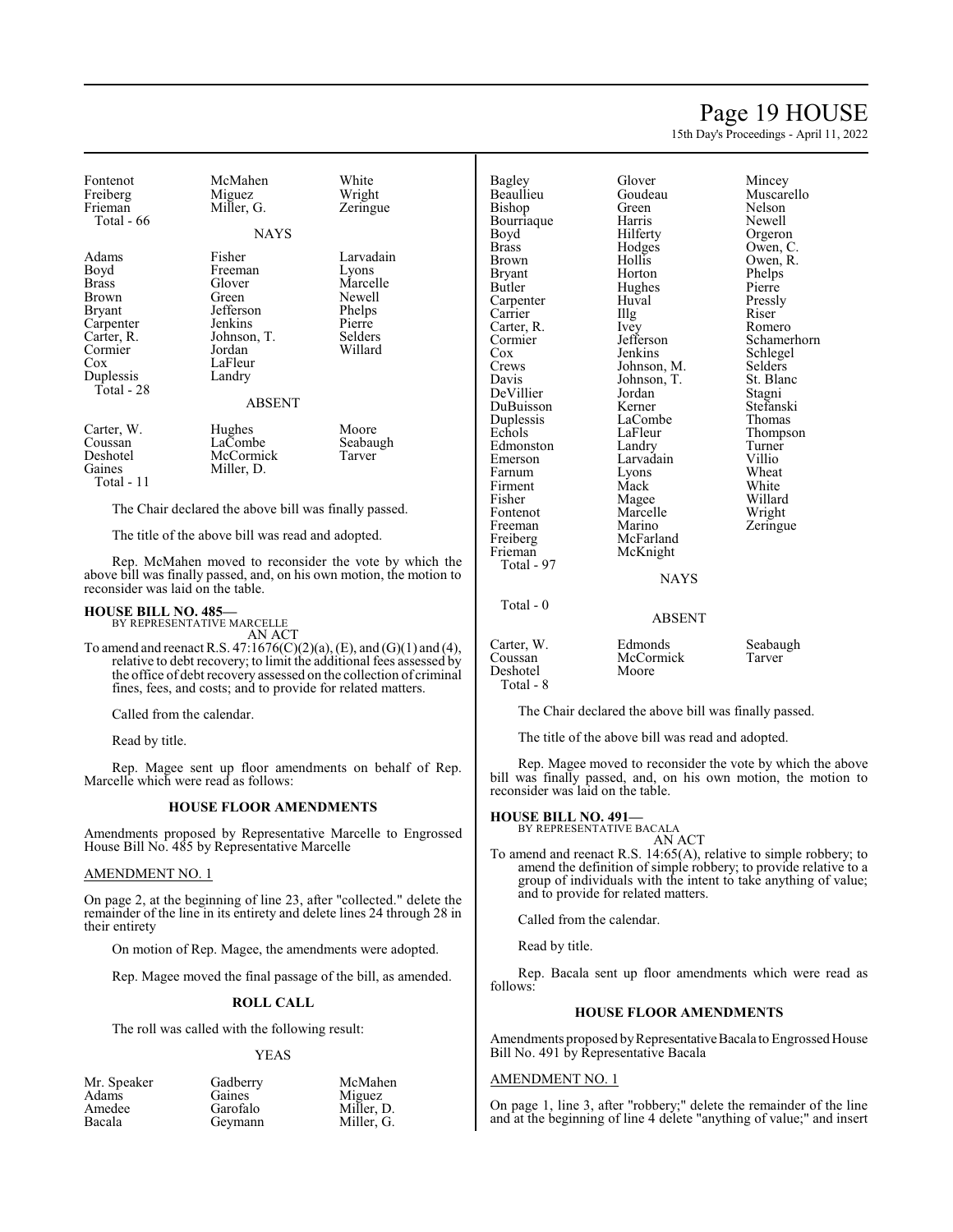# Page 19 HOUSE

15th Day's Proceedings - April 11, 2022

| Fontenot<br>Freiberg<br>Frieman<br>Total - 66                                                                                             | McMahen<br>Miguez<br>Miller, G.<br><b>NAYS</b>                                                                              | White<br>Wright<br>Zeringue                                                        |
|-------------------------------------------------------------------------------------------------------------------------------------------|-----------------------------------------------------------------------------------------------------------------------------|------------------------------------------------------------------------------------|
| Adams<br>Boyd<br><b>Brass</b><br><b>Brown</b><br><b>Bryant</b><br>Carpenter<br>Carter, R.<br>Cormier<br>$\cos$<br>Duplessis<br>Total - 28 | Fisher<br>Freeman<br>Glover<br>Green<br>Jefferson<br>Jenkins<br>Johnson, T.<br>Jordan<br>LaFleur<br>Landry<br><b>ABSENT</b> | Larvadain<br>Lyons<br>Marcelle<br>Newell<br>Phelps<br>Pierre<br>Selders<br>Willard |
| Carter, W.<br>Coussan<br>Deshotel<br>Gaines<br>Total - 11                                                                                 | Hughes<br>LaCombe<br>McCormick<br>Miller, D.                                                                                | Moore<br>Seabaugh<br>Tarver                                                        |

The Chair declared the above bill was finally passed.

The title of the above bill was read and adopted.

Rep. McMahen moved to reconsider the vote by which the above bill was finally passed, and, on his own motion, the motion to reconsider was laid on the table.

#### **HOUSE BILL NO. 485—**

BY REPRESENTATIVE MARCELLE AN ACT

To amend and reenact R.S. 47:1676(C)(2)(a), (E), and (G)(1) and (4), relative to debt recovery; to limit the additional fees assessed by the office of debt recovery assessed on the collection of criminal fines, fees, and costs; and to provide for related matters.

Called from the calendar.

Read by title.

Rep. Magee sent up floor amendments on behalf of Rep. Marcelle which were read as follows:

#### **HOUSE FLOOR AMENDMENTS**

Amendments proposed by Representative Marcelle to Engrossed House Bill No. 485 by Representative Marcelle

### AMENDMENT NO. 1

On page 2, at the beginning of line 23, after "collected." delete the remainder of the line in its entirety and delete lines 24 through 28 in their entirety

On motion of Rep. Magee, the amendments were adopted.

Rep. Magee moved the final passage of the bill, as amended.

#### **ROLL CALL**

The roll was called with the following result:

#### YEAS

| Mr. Speaker<br>Adams | Gadberry<br>Gaines | McMahen              |  |
|----------------------|--------------------|----------------------|--|
| Amedee               | Garofalo           | Miguez<br>Miller, D. |  |
| Bacala               | Geymann            | Miller, G.           |  |

Gaines Miguez<br>Garofalo Miller, I Miller, D.<br>Miller, G.

| Bagley<br>Beaullieu<br>Bishop | Glover<br>Goudeau<br>Green | Mincey<br>Muscarello<br>Nelson |
|-------------------------------|----------------------------|--------------------------------|
| Bourriaque                    | Harris                     | Newell                         |
| Boyd                          | Hilferty                   | Orgeron                        |
| Brass<br>Brown                | Hodges<br>Hollis           | Owen, C.                       |
|                               | Horton                     | Owen, R.                       |
| Bryant<br>Butler              |                            | Phelps<br>Pierre               |
|                               | Hughes<br>Huval            |                                |
| Carpenter<br>Carrier          |                            | Pressly<br>Riser               |
|                               | Illg                       |                                |
| Carter, R.                    | Ivey<br>Jefferson          | Romero                         |
| Cormier<br>Cox                | Jenkins                    | Schamerho                      |
|                               |                            | Schlegel<br>Selders            |
| Crews                         | Johnson, M.                |                                |
| Davis                         | Johnson, T.                | St. Blanc                      |
| DeVillier                     | Jordan                     | Stagni                         |
| DuBuisson                     | Kerner                     | Stefanski                      |
| Duplessis                     | LaCombe                    | Thomas                         |
| Echols                        | LaFleur                    | Thompson                       |
| Edmonston                     | Landry                     | Turner                         |
| Emerson                       | Larvadain                  | Villio                         |
| Farnum                        | Lyons                      | Wheat                          |
| Firment                       | Mack                       | White                          |
| Fisher                        | Magee                      | Willard                        |
| Fontenot                      | Marcelle                   | Wright                         |
| Freeman                       | Marino                     | Zeringue                       |
| Freiberg                      | McFarland                  |                                |
| Frieman                       | McKnight                   |                                |
| Total - 97                    |                            |                                |

Total - 0

Total - 8

Jefferson Schamerhorn<br>Jenkins Schlegel Schlegel<br>Selders Stefanski<br>Thomas Thompson<br>Turner Willard<br>Wright

NAYS

# ABSENT Carter, W. Edmonds Seabaugh<br>
Coussan McCormick Tarver McCormick Deshotel Moore

The Chair declared the above bill was finally passed.

The title of the above bill was read and adopted.

Rep. Magee moved to reconsider the vote by which the above bill was finally passed, and, on his own motion, the motion to reconsider was laid on the table.

#### **HOUSE BILL NO. 491—**

BY REPRESENTATIVE BACALA AN ACT

To amend and reenact R.S. 14:65(A), relative to simple robbery; to amend the definition of simple robbery; to provide relative to a group of individuals with the intent to take anything of value; and to provide for related matters.

Called from the calendar.

Read by title.

Rep. Bacala sent up floor amendments which were read as follows:

#### **HOUSE FLOOR AMENDMENTS**

Amendments proposed by Representative Bacala to Engrossed House Bill No. 491 by Representative Bacala

#### AMENDMENT NO. 1

On page 1, line 3, after "robbery;" delete the remainder of the line and at the beginning of line 4 delete "anything of value;" and insert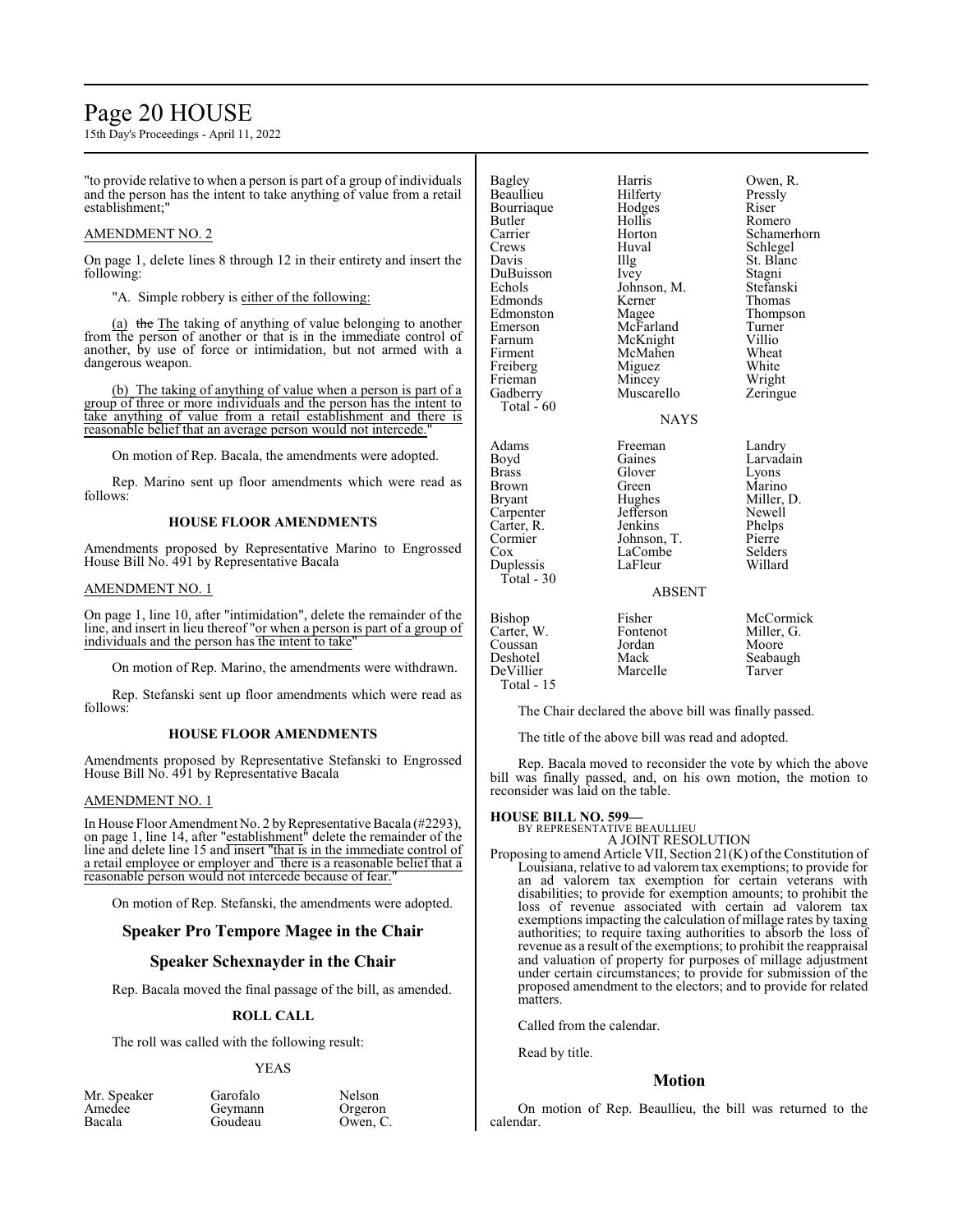# Page 20 HOUSE

15th Day's Proceedings - April 11, 2022

"to provide relative to when a person is part of a group of individuals and the person has the intent to take anything of value from a retail establishment;"

### AMENDMENT NO. 2

On page 1, delete lines 8 through 12 in their entirety and insert the following:

"A. Simple robbery is either of the following:

(a) the The taking of anything of value belonging to another from the person of another or that is in the immediate control of another, by use of force or intimidation, but not armed with a dangerous weapon.

(b) The taking of anything of value when a person is part of a group of three or more individuals and the person has the intent to take anything of value from a retail establishment and there is reasonable belief that an average person would not intercede.

On motion of Rep. Bacala, the amendments were adopted.

Rep. Marino sent up floor amendments which were read as follows:

### **HOUSE FLOOR AMENDMENTS**

Amendments proposed by Representative Marino to Engrossed House Bill No. 491 by Representative Bacala

#### AMENDMENT NO. 1

On page 1, line 10, after "intimidation", delete the remainder of the line, and insert in lieu thereof "or when a person is part of a group of individuals and the person has the intent to take

On motion of Rep. Marino, the amendments were withdrawn.

Rep. Stefanski sent up floor amendments which were read as follows:

#### **HOUSE FLOOR AMENDMENTS**

Amendments proposed by Representative Stefanski to Engrossed House Bill No. 491 by Representative Bacala

#### AMENDMENT NO. 1

In House Floor Amendment No. 2 by Representative Bacala (#2293), on page 1, line 14, after "establishment" delete the remainder of the line and delete line 15 and insert "that is in the immediate control of a retail employee or employer and there is a reasonable belief that a reasonable person would not intercede because of fear.

On motion of Rep. Stefanski, the amendments were adopted.

# **Speaker Pro Tempore Magee in the Chair**

# **Speaker Schexnayder in the Chair**

Rep. Bacala moved the final passage of the bill, as amended.

#### **ROLL CALL**

The roll was called with the following result:

#### YEAS

Mr. Speaker Garofalo<br>Amedee Gevmann Amedee Geymann<br>Bacala Goudeau

Goudeau

| Nelson   |  |
|----------|--|
| Orgeron  |  |
| Owen, C. |  |

| Bagley<br>Beaullieu<br>Bourriaque<br>Butler<br>Carrier<br>Crews<br>Davis<br>DuBuisson<br>Echols<br>Edmonds<br>Edmonston<br>Emerson<br>Farnum<br>Firment<br>Freiberg<br>Frieman<br>Gadberry<br>Total $-60$ | Harris<br>Hilferty<br>Hodges<br>Hollis<br>Horton<br>Huval<br>Illg<br>Ivey<br>Johnson, M.<br>Kerner<br>Magee<br>McFarland<br>McKnight<br>McMahen<br>Miguez<br>Mincey<br>Muscarello<br><b>NAYS</b> | Owen, R.<br>Pressly<br>Riser<br>Romero<br>Schamerhorn<br>Schlegel<br>St. Blanc<br>Stagni<br>Stefanski<br>Thomas<br>Thompson<br>Turner<br>Villio<br>Wheat<br>White<br>Wright<br>Zeringue |
|-----------------------------------------------------------------------------------------------------------------------------------------------------------------------------------------------------------|--------------------------------------------------------------------------------------------------------------------------------------------------------------------------------------------------|-----------------------------------------------------------------------------------------------------------------------------------------------------------------------------------------|
| Adams<br>Boyd<br>Brass<br>Brown<br>Bryant<br>Carpenter<br>Carter, R.<br>Cormier<br>Cox<br>Duplessis<br>$Total - 30$                                                                                       | Freeman<br>Gaines<br>Glover<br>Green<br>Hughes<br>Jefferson<br>Jenkins<br>Johnson, T.<br>LaCombe<br>LaFleur<br><b>ABSENT</b>                                                                     | Landry<br>Larvadain<br>Lyons<br>Marino<br>Miller, D.<br>Newell<br>Phelps<br>Pierre<br>Selders<br>Willard                                                                                |
| Bishop<br>Carter, W.<br>Coussan<br>Deshotel<br>DeVillier<br>Total - 15                                                                                                                                    | Fisher<br>Fontenot<br>Jordan<br>Mack<br>Marcelle                                                                                                                                                 | McCormick<br>Miller, G.<br>Moore<br>Seabaugh<br>Tarver                                                                                                                                  |

The Chair declared the above bill was finally passed.

The title of the above bill was read and adopted.

Rep. Bacala moved to reconsider the vote by which the above bill was finally passed, and, on his own motion, the motion to reconsider was laid on the table.

#### **HOUSE BILL NO. 599—**

BY REPRESENTATIVE BEAULLIEU A JOINT RESOLUTION

Proposing to amend Article VII, Section  $21(K)$  of the Constitution of Louisiana, relative to ad valorem tax exemptions; to provide for an ad valorem tax exemption for certain veterans with disabilities; to provide for exemption amounts; to prohibit the loss of revenue associated with certain ad valorem tax exemptions impacting the calculation of millage rates by taxing authorities; to require taxing authorities to absorb the loss of revenue as a result of the exemptions; to prohibit the reappraisal and valuation of property for purposes of millage adjustment under certain circumstances; to provide for submission of the proposed amendment to the electors; and to provide for related matters.

Called from the calendar.

Read by title.

#### **Motion**

On motion of Rep. Beaullieu, the bill was returned to the calendar.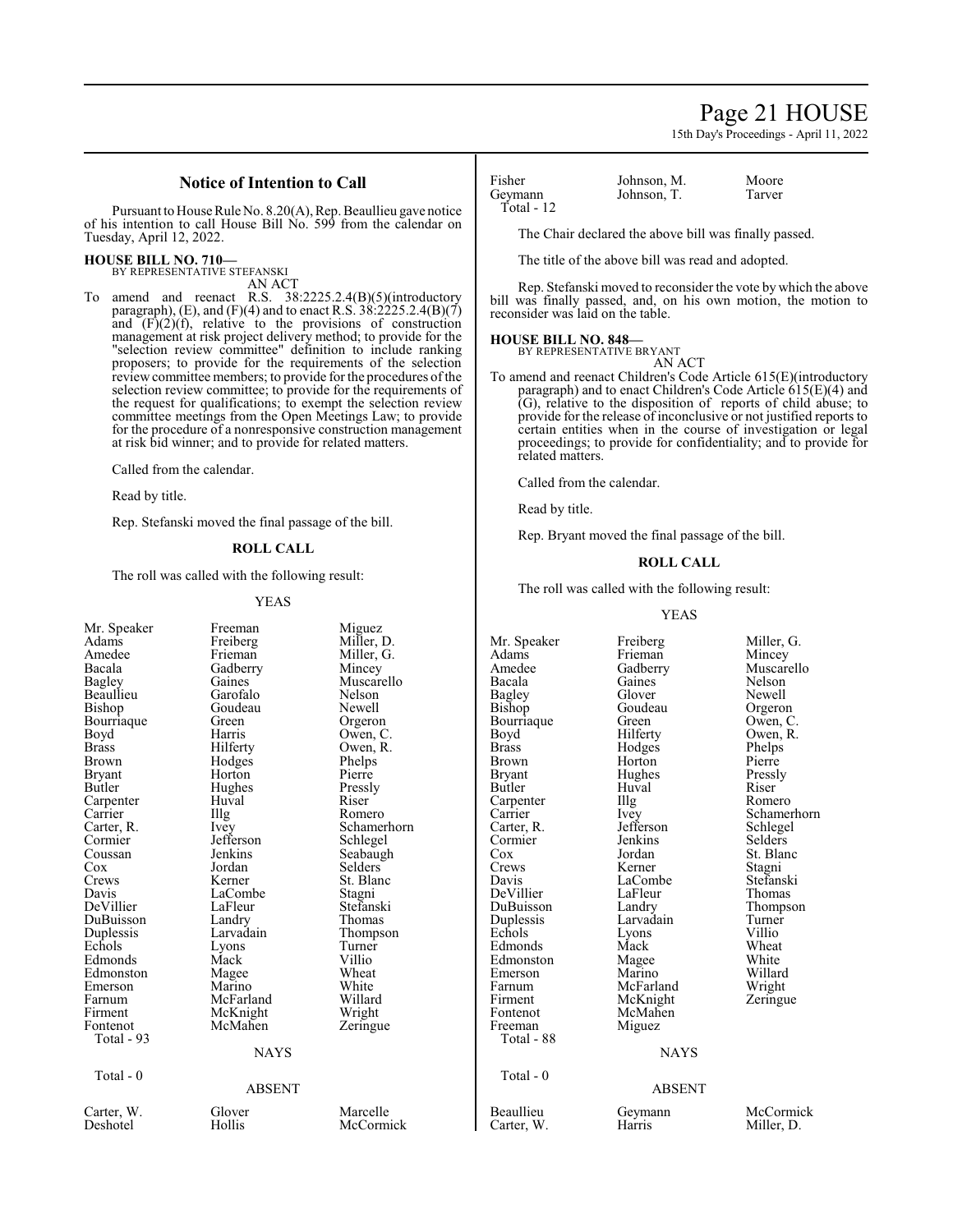# Page 21 HOUSE

15th Day's Proceedings - April 11, 2022

# **Notice of Intention to Call**

Pursuant to House Rule No. 8.20(A), Rep. Beaullieu gave notice of his intention to call House Bill No. 599 from the calendar on Tuesday, April 12, 2022.

# **HOUSE BILL NO. 710—** BY REPRESENTATIVE STEFANSKI

AN ACT

To amend and reenact R.S. 38:2225.2.4(B)(5)(introductory paragraph), (E), and (F)(4) and to enact R.S.  $38:2225.2.4(B)(7)$ and  $(F)(2)(f)$ , relative to the provisions of construction management at risk project delivery method; to provide for the "selection review committee" definition to include ranking proposers; to provide for the requirements of the selection review committee members; to provide for the procedures of the selection review committee; to provide for the requirements of the request for qualifications; to exempt the selection review committee meetings from the Open Meetings Law; to provide for the procedure of a nonresponsive construction management at risk bid winner; and to provide for related matters.

Called from the calendar.

Read by title.

Rep. Stefanski moved the final passage of the bill.

### **ROLL CALL**

The roll was called with the following result:

#### YEAS

|               |           |             |               | <b>YEAS</b> |              |  |
|---------------|-----------|-------------|---------------|-------------|--------------|--|
| Mr. Speaker   | Freeman   | Miguez      |               |             |              |  |
| Adams         | Freiberg  | Miller, D.  | Mr. Speaker   | Freiberg    | Miller       |  |
| Amedee        | Frieman   | Miller, G.  | Adams         | Frieman     | Mince        |  |
| Bacala        | Gadberry  | Mincey      | Amedee        | Gadberry    | Musca        |  |
| <b>Bagley</b> | Gaines    | Muscarello  | Bacala        | Gaines      | <b>Nelso</b> |  |
| Beaullieu     | Garofalo  | Nelson      | Bagley        | Glover      | Newe         |  |
| Bishop        | Goudeau   | Newell      | <b>Bishop</b> | Goudeau     | Orger        |  |
| Bourriaque    | Green     | Orgeron     | Bourriaque    | Green       | Owen         |  |
| Boyd          | Harris    | Owen, C.    | Boyd          | Hilferty    | Owen         |  |
| <b>Brass</b>  | Hilferty  | Owen, R.    | <b>Brass</b>  | Hodges      | Phelp        |  |
| Brown         | Hodges    | Phelps      | Brown         | Horton      | Pierre       |  |
| <b>Bryant</b> | Horton    | Pierre      | <b>Bryant</b> | Hughes      | Pressl       |  |
| Butler        | Hughes    | Pressly     | Butler        | Huval       | Riser        |  |
| Carpenter     | Huval     | Riser       | Carpenter     | Illg        | Rome         |  |
| Carrier       | Illg      | Romero      | Carrier       | Ivey        | Schan        |  |
| Carter, R.    | Ivey      | Schamerhorn | Carter, R.    | Jefferson   | Schleg       |  |
| Cormier       | Jefferson | Schlegel    | Cormier       | Jenkins     | Selder       |  |
| Coussan       | Jenkins   | Seabaugh    | Cox           | Jordan      | St. Bl       |  |
| Cox           | Jordan    | Selders     | Crews         | Kerner      | Stagni       |  |
| Crews         | Kerner    | St. Blanc   | Davis         | LaCombe     | Stefar       |  |
| Davis         | LaCombe   | Stagni      | DeVillier     | LaFleur     | Thom         |  |
| DeVillier     | LaFleur   | Stefanski   | DuBuisson     | Landry      | Thom         |  |
| DuBuisson     | Landry    | Thomas      | Duplessis     | Larvadain   | Turne        |  |
| Duplessis     | Larvadain | Thompson    | Echols        | Lyons       | Villio       |  |
| Echols        | Lyons     | Turner      | Edmonds       | Mack        | Whea         |  |
| Edmonds       | Mack      | Villio      | Edmonston     | Magee       | White        |  |
| Edmonston     | Magee     | Wheat       | Emerson       | Marino      | Willar       |  |
| Emerson       | Marino    | White       | Farnum        | McFarland   | Wrigh        |  |
| Farnum        | McFarland | Willard     | Firment       | McKnight    | Zering       |  |
| Firment       | McKnight  | Wright      | Fontenot      | McMahen     |              |  |
| Fontenot      | McMahen   | Zeringue    | Freeman       | Miguez      |              |  |
| Total - 93    |           |             | Total - 88    |             |              |  |
| <b>NAYS</b>   |           |             | <b>NAYS</b>   |             |              |  |
| Total - 0     |           |             | Total - 0     |             |              |  |
| <b>ABSENT</b> |           |             | <b>ABSENT</b> |             |              |  |
| Carter, W.    | Glover    | Marcelle    | Beaullieu     | Geymann     | McCc         |  |
| Deshotel      | Hollis    | McCormick   | Carter, W.    | Harris      | Miller       |  |
|               |           |             |               |             |              |  |

Geymann Total - 12

Fisher Johnson, M. Moore<br>Geymann Johnson T Tarver

The Chair declared the above bill was finally passed.

The title of the above bill was read and adopted.

Rep. Stefanski moved to reconsider the vote by which the above bill was finally passed, and, on his own motion, the motion to reconsider was laid on the table.

### **HOUSE BILL NO. 848—**

BY REPRESENTATIVE BRYANT

- AN ACT
- To amend and reenact Children's Code Article 615(E)(introductory paragraph) and to enact Children's Code Article 615(E)(4) and (G), relative to the disposition of reports of child abuse; to provide for the release of inconclusive or not justified reports to certain entities when in the course of investigation or legal proceedings; to provide for confidentiality; and to provide for related matters.

Called from the calendar.

Read by title.

Rep. Bryant moved the final passage of the bill.

### **ROLL CALL**

The roll was called with the following result:

#### YEAS

reiberg Miller, G.<br>
rieman Mincev rieman Mincey<br>adberry Muscare adberry Muscarello<br>aines Nelson aines Nelson<br>lover Newell lover Newell<br>
bag<br>
Bage Greeno Production Sudeau Orgeron<br>
Bishop Goven, C reen Owen, C.<br>
ilferty Owen, R. ilferty Owen, R.<br>
odges Phelps Phelps<br>Pierre ughes Pressly<br>uval Riser Riser lg Romero Evey Schamerhorn<br>
Schlegel<br>
Schlegel efferson Schlegel<br>Experiment Selders enkins Selders<br>
St. Blan ordan St. Blanc<br>
erner Stagni erner Stagni<br>Combe Stefans aCombe Stefanski<br>aFleur Thomas aFleur Thomas<br>andry Thomps Thompson<br>Turner external villions<br>Each villions villions villions villions villions villions villions villions villions villions villions villio<br>The Villions villions villions villions villions villions villions villions villions villions lack Wheat<br>Iagee White Eagee White<br>Earino Willar Willard<br>Wright Zeringue

# **NAYS**

#### ABSENT

eymann McCormick<br>arris Miller, D. Miller, D.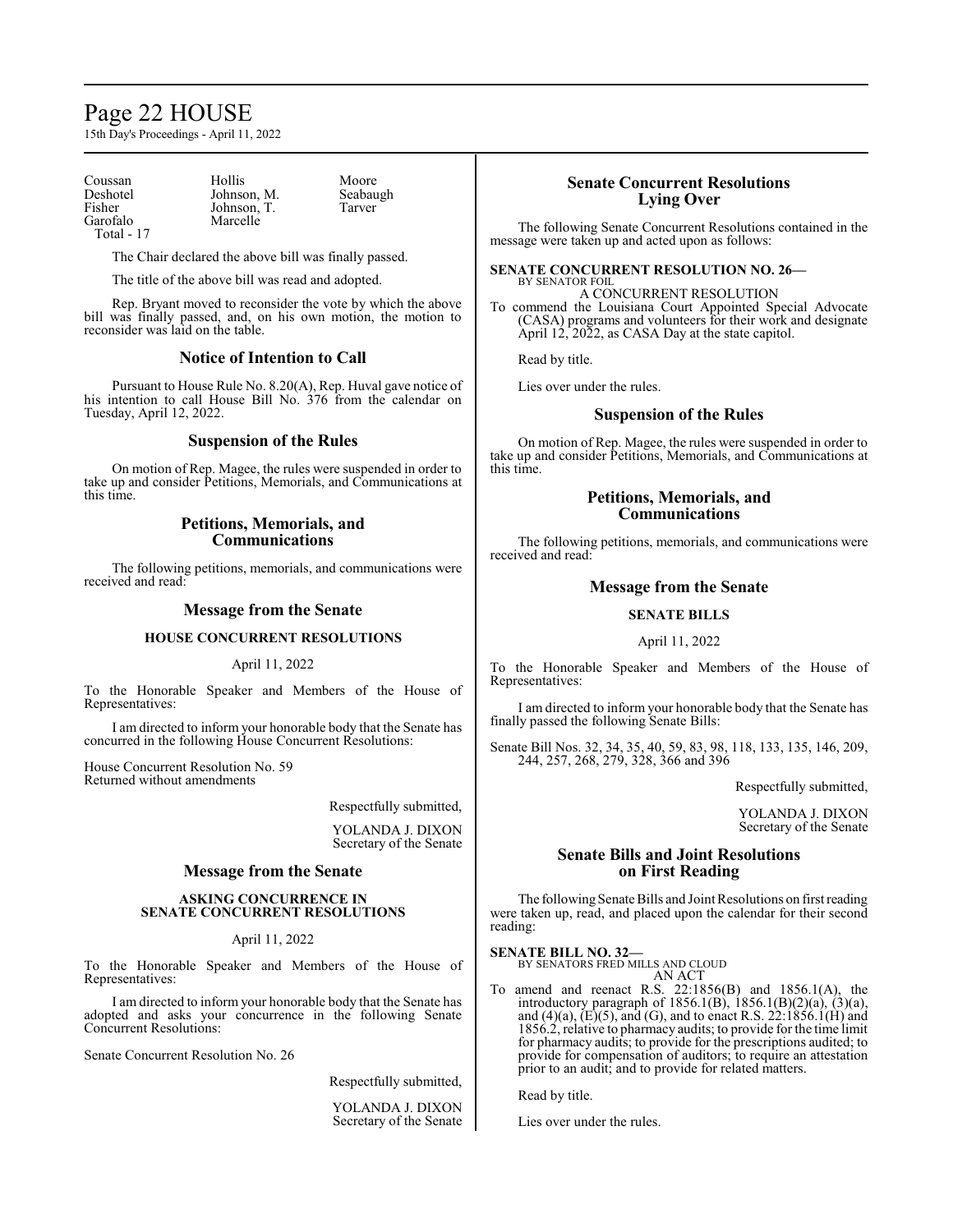# Page 22 HOUSE

15th Day's Proceedings - April 11, 2022

Coussan Hollis Moore<br>Deshotel Johnson, M. Seabaugh Deshotel Johnson, M. Seabau<br>Fisher Johnson, T. Tarver Fisher Johnson, T.<br>Garofalo Marcelle Total - 17

Marcelle

The Chair declared the above bill was finally passed.

The title of the above bill was read and adopted.

Rep. Bryant moved to reconsider the vote by which the above bill was finally passed, and, on his own motion, the motion to reconsider was laid on the table.

### **Notice of Intention to Call**

Pursuant to House Rule No. 8.20(A), Rep. Huval gave notice of his intention to call House Bill No. 376 from the calendar on Tuesday, April 12, 2022.

### **Suspension of the Rules**

On motion of Rep. Magee, the rules were suspended in order to take up and consider Petitions, Memorials, and Communications at this time.

### **Petitions, Memorials, and Communications**

The following petitions, memorials, and communications were received and read:

# **Message from the Senate**

### **HOUSE CONCURRENT RESOLUTIONS**

April 11, 2022

To the Honorable Speaker and Members of the House of Representatives:

I am directed to inform your honorable body that the Senate has concurred in the following House Concurrent Resolutions:

House Concurrent Resolution No. 59 Returned without amendments

Respectfully submitted,

YOLANDA J. DIXON Secretary of the Senate

### **Message from the Senate**

#### **ASKING CONCURRENCE IN SENATE CONCURRENT RESOLUTIONS**

### April 11, 2022

To the Honorable Speaker and Members of the House of Representatives:

I am directed to inform your honorable body that the Senate has adopted and asks your concurrence in the following Senate Concurrent Resolutions:

Senate Concurrent Resolution No. 26

Respectfully submitted,

YOLANDA J. DIXON Secretary of the Senate

# **Senate Concurrent Resolutions Lying Over**

The following Senate Concurrent Resolutions contained in the message were taken up and acted upon as follows:

#### **SENATE CONCURRENT RESOLUTION NO. 26—** BY SENATOR FOIL

A CONCURRENT RESOLUTION To commend the Louisiana Court Appointed Special Advocate (CASA) programs and volunteers for their work and designate April 12, 2022, as CASA Day at the state capitol.

Read by title.

Lies over under the rules.

### **Suspension of the Rules**

On motion of Rep. Magee, the rules were suspended in order to take up and consider Petitions, Memorials, and Communications at this time.

# **Petitions, Memorials, and Communications**

The following petitions, memorials, and communications were received and read:

# **Message from the Senate**

# **SENATE BILLS**

# April 11, 2022

To the Honorable Speaker and Members of the House of Representatives:

I am directed to inform your honorable body that the Senate has finally passed the following Senate Bills:

Senate Bill Nos. 32, 34, 35, 40, 59, 83, 98, 118, 133, 135, 146, 209, 244, 257, 268, 279, 328, 366 and 396

Respectfully submitted,

YOLANDA J. DIXON Secretary of the Senate

# **Senate Bills and Joint Resolutions on First Reading**

The following Senate Bills and Joint Resolutions on first reading were taken up, read, and placed upon the calendar for their second reading:

#### **SENATE BILL NO. 32—**

BY SENATORS FRED MILLS AND CLOUD AN ACT

To amend and reenact R.S. 22:1856(B) and 1856.1(A), the introductory paragraph of 1856.1(B), 1856.1(B)(2)(a), (3)(a), and (4)(a),  $(E)(5)$ , and (G), and to enact R.S.  $22:1856.1(H)$  and 1856.2, relative to pharmacy audits; to provide for the time limit for pharmacy audits; to provide for the prescriptions audited; to provide for compensation of auditors; to require an attestation prior to an audit; and to provide for related matters.

Read by title.

Lies over under the rules.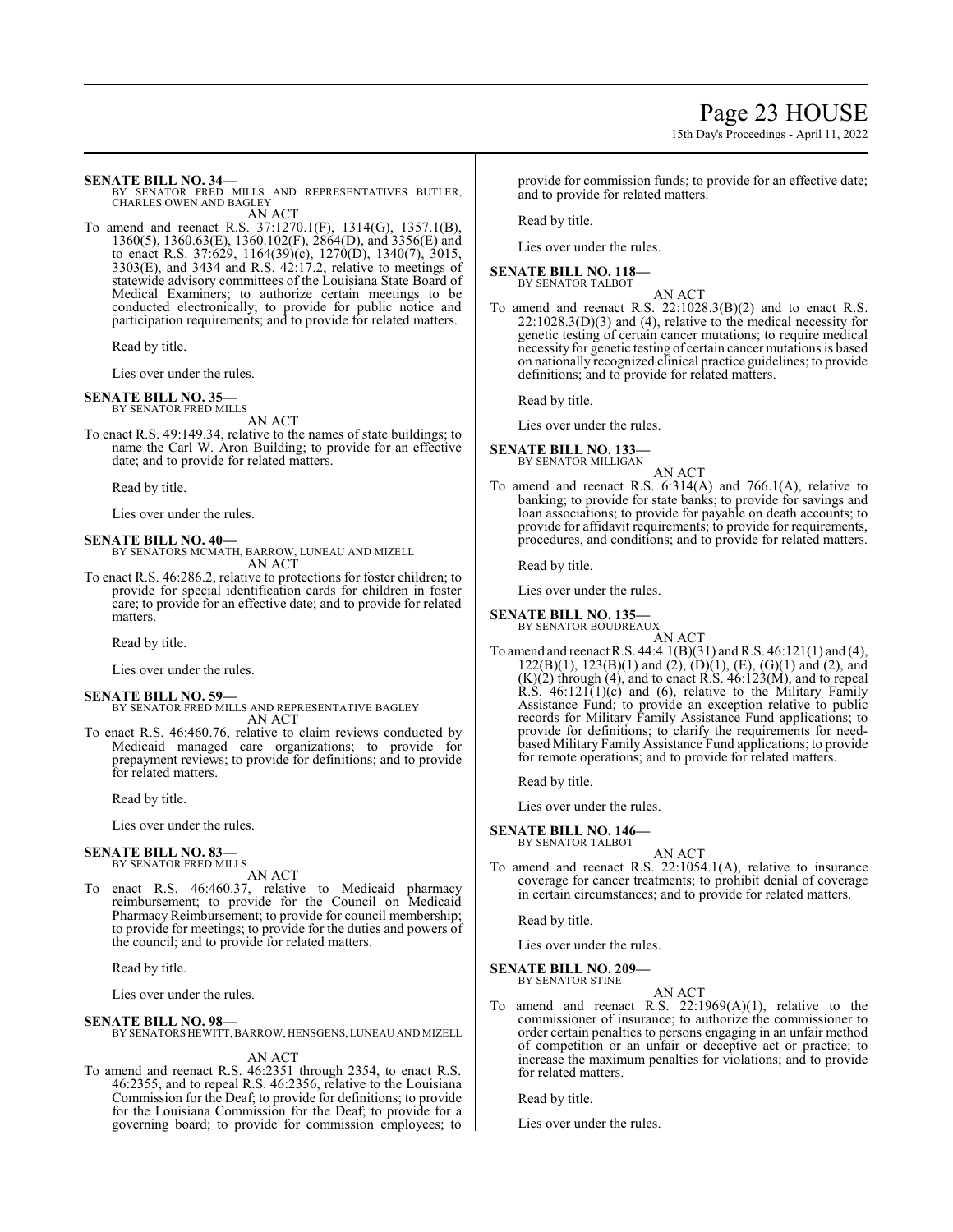15th Day's Proceedings - April 11, 2022

**SENATE BILL NO. 34—**<br>BY SENATOR FRED MILLS AND REPRESENTATIVES BUTLER,<br>CHARLES OWEN AND BAGLEY AN ACT

To amend and reenact R.S. 37:1270.1(F), 1314(G), 1357.1(B), 1360(5), 1360.63(E), 1360.102(F), 2864(D), and 3356(E) and to enact R.S. 37:629, 1164(39)(c), 1270(D), 1340(7), 3015, 3303(E), and 3434 and R.S. 42:17.2, relative to meetings of statewide advisory committees of the Louisiana State Board of Medical Examiners; to authorize certain meetings to be conducted electronically; to provide for public notice and participation requirements; and to provide for related matters.

Read by title.

Lies over under the rules.

### **SENATE BILL NO. 35—**

BY SENATOR FRED MILLS AN ACT

To enact R.S. 49:149.34, relative to the names of state buildings; to name the Carl W. Aron Building; to provide for an effective date; and to provide for related matters.

Read by title.

Lies over under the rules.

#### **SENATE BILL NO. 40—**

BY SENATORS MCMATH, BARROW, LUNEAU AND MIZELL AN ACT

To enact R.S. 46:286.2, relative to protections for foster children; to provide for special identification cards for children in foster care; to provide for an effective date; and to provide for related matters.

Read by title.

Lies over under the rules.

#### **SENATE BILL NO. 59—**

- BY SENATOR FRED MILLS AND REPRESENTATIVE BAGLEY AN ACT
- To enact R.S. 46:460.76, relative to claim reviews conducted by Medicaid managed care organizations; to provide for prepayment reviews; to provide for definitions; and to provide for related matters.

Read by title.

Lies over under the rules.

#### **SENATE BILL NO. 83—**

BY SENATOR FRED MILLS AN ACT

To enact R.S. 46:460.37, relative to Medicaid pharmacy reimbursement; to provide for the Council on Medicaid Pharmacy Reimbursement; to provide for council membership; to provide for meetings; to provide for the duties and powers of the council; and to provide for related matters.

Read by title.

Lies over under the rules.

#### **SENATE BILL NO. 98—**

BY SENATORS HEWITT,BARROW, HENSGENS, LUNEAU AND MIZELL

AN ACT

To amend and reenact R.S. 46:2351 through 2354, to enact R.S. 46:2355, and to repeal R.S. 46:2356, relative to the Louisiana Commission for the Deaf; to provide for definitions; to provide for the Louisiana Commission for the Deaf; to provide for a governing board; to provide for commission employees; to provide for commission funds; to provide for an effective date; and to provide for related matters.

Read by title.

Lies over under the rules.

# **SENATE BILL NO. 118—**

BY SENATOR TALBOT

AN ACT To amend and reenact R.S. 22:1028.3(B)(2) and to enact R.S.  $22:1028.3(D)(3)$  and (4), relative to the medical necessity for genetic testing of certain cancer mutations; to require medical necessity for genetic testing of certain cancer mutations is based on nationally recognized clinical practice guidelines; to provide definitions; and to provide for related matters.

Read by title.

Lies over under the rules.

#### **SENATE BILL NO. 133—** BY SENATOR MILLIGAN

- AN ACT
- To amend and reenact R.S. 6:314(A) and 766.1(A), relative to banking; to provide for state banks; to provide for savings and loan associations; to provide for payable on death accounts; to provide for affidavit requirements; to provide for requirements, procedures, and conditions; and to provide for related matters.

Read by title.

Lies over under the rules.

# **SENATE BILL NO. 135—**

BY SENATOR BOUDREAUX AN ACT

To amend and reenact R.S.  $44:4.1(B)(31)$  and R.S.  $46:121(1)$  and  $(4)$ ,  $122(B)(1)$ ,  $123(B)(1)$  and  $(2)$ ,  $(D)(1)$ ,  $(E)$ ,  $(G)(1)$  and  $(2)$ , and  $(K)(2)$  through  $(4)$ , and to enact R.S.  $46:123(M)$ , and to repeal R.S.  $46:121(1)(c)$  and (6), relative to the Military Family Assistance Fund; to provide an exception relative to public records for Military Family Assistance Fund applications; to provide for definitions; to clarify the requirements for needbased Military Family Assistance Fund applications; to provide for remote operations; and to provide for related matters.

Read by title.

Lies over under the rules.

#### **SENATE BILL NO. 146—** BY SENATOR TALBOT

AN ACT To amend and reenact R.S. 22:1054.1(A), relative to insurance coverage for cancer treatments; to prohibit denial of coverage in certain circumstances; and to provide for related matters.

Read by title.

Lies over under the rules.

# **SENATE BILL NO. 209—**

BY SENATOR STINE

# AN ACT

To amend and reenact R.S.  $22:1969(A)(1)$ , relative to the commissioner of insurance; to authorize the commissioner to order certain penalties to persons engaging in an unfair method of competition or an unfair or deceptive act or practice; to increase the maximum penalties for violations; and to provide for related matters.

Read by title.

Lies over under the rules.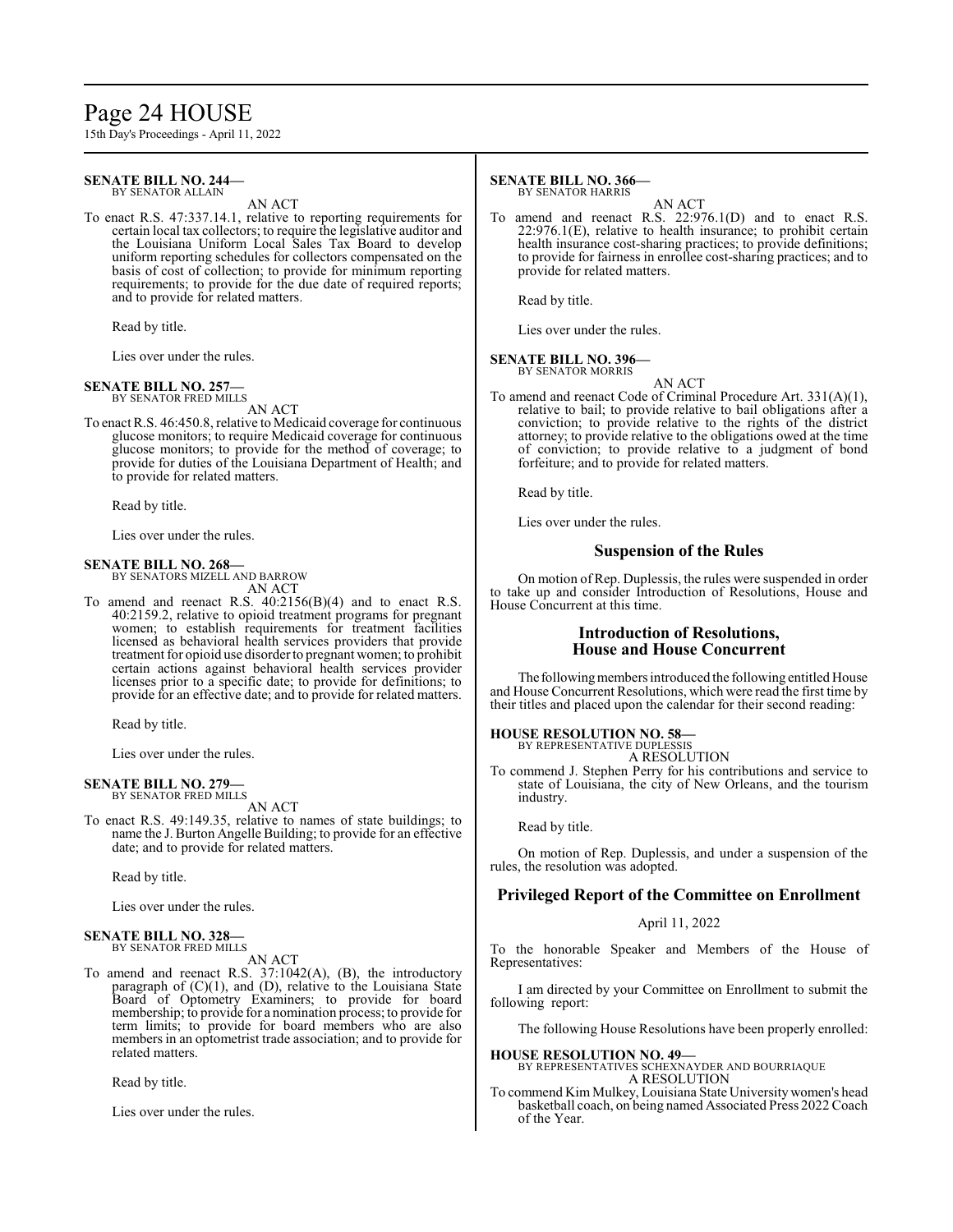# Page 24 HOUSE

15th Day's Proceedings - April 11, 2022

#### **SENATE BILL NO. 244—** BY SENATOR ALLAIN

AN ACT

To enact R.S. 47:337.14.1, relative to reporting requirements for certain local tax collectors; to require the legislative auditor and the Louisiana Uniform Local Sales Tax Board to develop uniform reporting schedules for collectors compensated on the basis of cost of collection; to provide for minimum reporting requirements; to provide for the due date of required reports; and to provide for related matters.

Read by title.

Lies over under the rules.

#### **SENATE BILL NO. 257—** BY SENATOR FRED MILLS

AN ACT

To enact R.S. 46:450.8, relative to Medicaid coverage for continuous glucose monitors; to require Medicaid coverage for continuous glucose monitors; to provide for the method of coverage; to provide for duties of the Louisiana Department of Health; and to provide for related matters.

Read by title.

Lies over under the rules.

# **SENATE BILL NO. 268—**

BY SENATORS MIZELL AND BARROW AN ACT

To amend and reenact R.S. 40:2156(B)(4) and to enact R.S. 40:2159.2, relative to opioid treatment programs for pregnant women; to establish requirements for treatment facilities licensed as behavioral health services providers that provide treatment for opioid use disorder to pregnant women; to prohibit certain actions against behavioral health services provider licenses prior to a specific date; to provide for definitions; to provide for an effective date; and to provide for related matters.

Read by title.

Lies over under the rules.

#### **SENATE BILL NO. 279—** BY SENATOR FRED MILLS

AN ACT

To enact R.S. 49:149.35, relative to names of state buildings; to name the J. Burton Angelle Building; to provide for an effective date; and to provide for related matters.

Read by title.

Lies over under the rules.

#### **SENATE BILL NO. 328—** BY SENATOR FRED MILLS

AN ACT

To amend and reenact R.S. 37:1042(A), (B), the introductory paragraph of (C)(1), and (D), relative to the Louisiana State Board of Optometry Examiners; to provide for board membership; to provide for a nomination process; to provide for term limits; to provide for board members who are also members in an optometrist trade association; and to provide for related matters.

Read by title.

Lies over under the rules.

#### **SENATE BILL NO. 366—** BY SENATOR HARRIS

AN ACT

To amend and reenact R.S. 22:976.1(D) and to enact R.S. 22:976.1(E), relative to health insurance; to prohibit certain health insurance cost-sharing practices; to provide definitions; to provide for fairness in enrollee cost-sharing practices; and to provide for related matters.

Read by title.

Lies over under the rules.

### **SENATE BILL NO. 396—**

BY SENATOR MORRIS AN ACT

To amend and reenact Code of Criminal Procedure Art. 331(A)(1), relative to bail; to provide relative to bail obligations after a conviction; to provide relative to the rights of the district attorney; to provide relative to the obligations owed at the time of conviction; to provide relative to a judgment of bond forfeiture; and to provide for related matters.

Read by title.

Lies over under the rules.

# **Suspension of the Rules**

On motion of Rep. Duplessis, the rules were suspended in order to take up and consider Introduction of Resolutions, House and House Concurrent at this time.

# **Introduction of Resolutions, House and House Concurrent**

The following members introduced the following entitled House and House Concurrent Resolutions, which were read the first time by their titles and placed upon the calendar for their second reading:

# **HOUSE RESOLUTION NO. 58—**

BY REPRESENTATIVE DUPLESSIS A RESOLUTION

To commend J. Stephen Perry for his contributions and service to state of Louisiana, the city of New Orleans, and the tourism industry.

Read by title.

On motion of Rep. Duplessis, and under a suspension of the rules, the resolution was adopted.

# **Privileged Report of the Committee on Enrollment**

April 11, 2022

To the honorable Speaker and Members of the House of Representatives:

I am directed by your Committee on Enrollment to submit the following report:

The following House Resolutions have been properly enrolled:

**HOUSE RESOLUTION NO. 49—**

BY REPRESENTATIVES SCHEXNAYDER AND BOURRIAQUE A RESOLUTION

To commend Kim Mulkey, Louisiana State Universitywomen's head basketball coach, on being named Associated Press 2022 Coach of the Year.